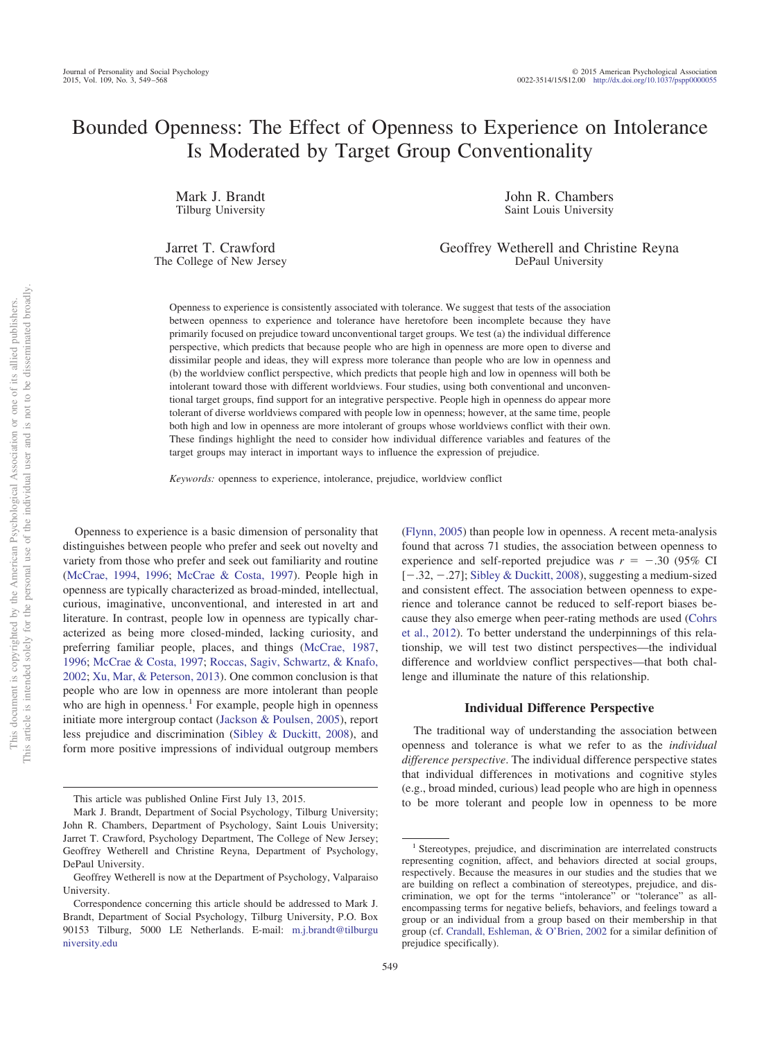# Bounded Openness: The Effect of Openness to Experience on Intolerance Is Moderated by Target Group Conventionality

Mark J. Brandt Tilburg University

Jarret T. Crawford The College of New Jersey John R. Chambers Saint Louis University

Geoffrey Wetherell and Christine Reyna DePaul University

Openness to experience is consistently associated with tolerance. We suggest that tests of the association between openness to experience and tolerance have heretofore been incomplete because they have primarily focused on prejudice toward unconventional target groups. We test (a) the individual difference perspective, which predicts that because people who are high in openness are more open to diverse and dissimilar people and ideas, they will express more tolerance than people who are low in openness and (b) the worldview conflict perspective, which predicts that people high and low in openness will both be intolerant toward those with different worldviews. Four studies, using both conventional and unconventional target groups, find support for an integrative perspective. People high in openness do appear more tolerant of diverse worldviews compared with people low in openness; however, at the same time, people both high and low in openness are more intolerant of groups whose worldviews conflict with their own. These findings highlight the need to consider how individual difference variables and features of the target groups may interact in important ways to influence the expression of prejudice.

*Keywords:* openness to experience, intolerance, prejudice, worldview conflict

Openness to experience is a basic dimension of personality that distinguishes between people who prefer and seek out novelty and variety from those who prefer and seek out familiarity and routine [\(McCrae, 1994,](#page-18-0) [1996;](#page-18-1) [McCrae & Costa, 1997\)](#page-18-2). People high in openness are typically characterized as broad-minded, intellectual, curious, imaginative, unconventional, and interested in art and literature. In contrast, people low in openness are typically characterized as being more closed-minded, lacking curiosity, and preferring familiar people, places, and things [\(McCrae, 1987,](#page-18-3) [1996;](#page-18-1) [McCrae & Costa, 1997;](#page-18-2) [Roccas, Sagiv, Schwartz, & Knafo,](#page-18-4) [2002;](#page-18-4) [Xu, Mar, & Peterson, 2013\)](#page-19-0). One common conclusion is that people who are low in openness are more intolerant than people who are high in openness. $<sup>1</sup>$  For example, people high in openness</sup> initiate more intergroup contact [\(Jackson & Poulsen, 2005\)](#page-18-5), report less prejudice and discrimination [\(Sibley & Duckitt, 2008\)](#page-18-6), and form more positive impressions of individual outgroup members

[\(Flynn, 2005\)](#page-18-7) than people low in openness. A recent meta-analysis found that across 71 studies, the association between openness to experience and self-reported prejudice was  $r = -.30$  (95% CI [-.32, -.27]; [Sibley & Duckitt, 2008\)](#page-18-6), suggesting a medium-sized and consistent effect. The association between openness to experience and tolerance cannot be reduced to self-report biases because they also emerge when peer-rating methods are used [\(Cohrs](#page-17-0) [et al., 2012\)](#page-17-0). To better understand the underpinnings of this relationship, we will test two distinct perspectives—the individual difference and worldview conflict perspectives—that both challenge and illuminate the nature of this relationship.

# **Individual Difference Perspective**

The traditional way of understanding the association between openness and tolerance is what we refer to as the *individual difference perspective*. The individual difference perspective states that individual differences in motivations and cognitive styles (e.g., broad minded, curious) lead people who are high in openness to be more tolerant and people low in openness to be more

This article was published Online First July 13, 2015.

Mark J. Brandt, Department of Social Psychology, Tilburg University; John R. Chambers, Department of Psychology, Saint Louis University; Jarret T. Crawford, Psychology Department, The College of New Jersey; Geoffrey Wetherell and Christine Reyna, Department of Psychology, DePaul University.

Geoffrey Wetherell is now at the Department of Psychology, Valparaiso University.

Correspondence concerning this article should be addressed to Mark J. Brandt, Department of Social Psychology, Tilburg University, P.O. Box 90153 Tilburg, 5000 LE Netherlands. E-mail: [m.j.brandt@tilburgu](mailto:m.j.brandt@tilburguniversity.edu) [niversity.edu](mailto:m.j.brandt@tilburguniversity.edu)

<sup>&</sup>lt;sup>1</sup> Stereotypes, prejudice, and discrimination are interrelated constructs representing cognition, affect, and behaviors directed at social groups, respectively. Because the measures in our studies and the studies that we are building on reflect a combination of stereotypes, prejudice, and discrimination, we opt for the terms "intolerance" or "tolerance" as allencompassing terms for negative beliefs, behaviors, and feelings toward a group or an individual from a group based on their membership in that group (cf. [Crandall, Eshleman, & O'Brien, 2002](#page-17-1) for a similar definition of prejudice specifically).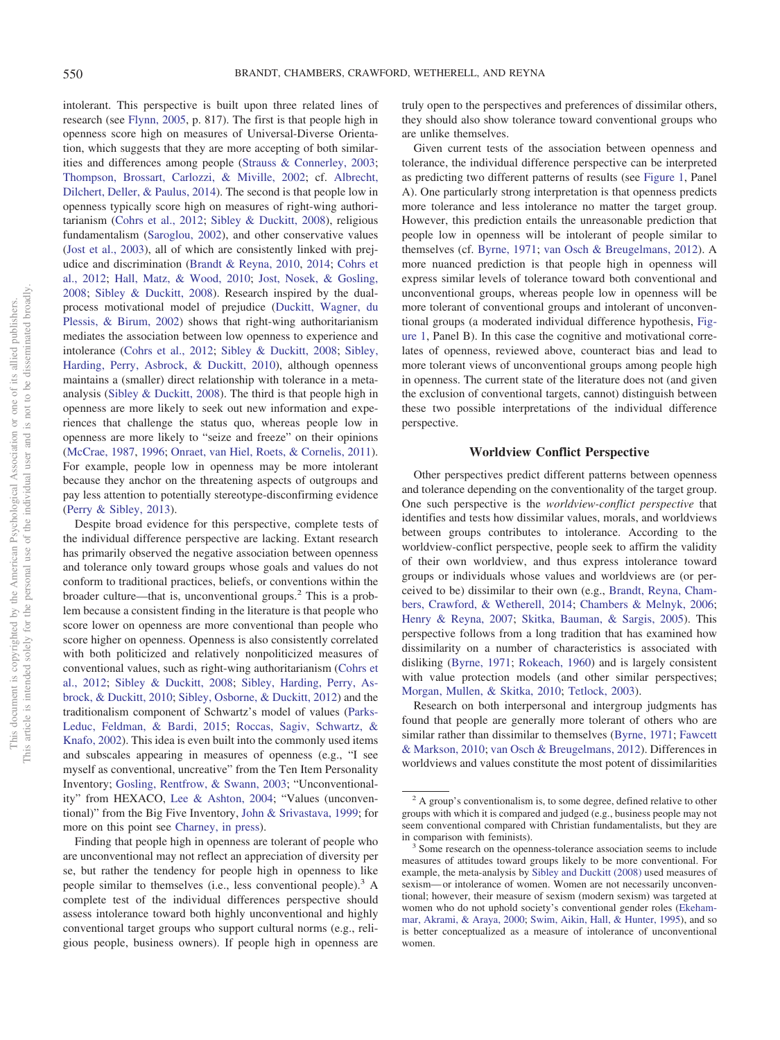intolerant. This perspective is built upon three related lines of research (see [Flynn, 2005,](#page-18-7) p. 817). The first is that people high in openness score high on measures of Universal-Diverse Orientation, which suggests that they are more accepting of both similarities and differences among people [\(Strauss & Connerley, 2003;](#page-19-1) [Thompson, Brossart, Carlozzi, & Miville, 2002;](#page-19-2) cf. [Albrecht,](#page-17-2) [Dilchert, Deller, & Paulus, 2014\)](#page-17-2). The second is that people low in openness typically score high on measures of right-wing authoritarianism [\(Cohrs et al., 2012;](#page-17-0) [Sibley & Duckitt, 2008\)](#page-18-6), religious fundamentalism [\(Saroglou, 2002\)](#page-18-8), and other conservative values [\(Jost et al., 2003\)](#page-18-9), all of which are consistently linked with prejudice and discrimination [\(Brandt & Reyna, 2010,](#page-17-3) [2014;](#page-17-4) [Cohrs et](#page-17-0) [al., 2012;](#page-17-0) [Hall, Matz, & Wood, 2010;](#page-18-10) [Jost, Nosek, & Gosling,](#page-18-11) [2008;](#page-18-11) [Sibley & Duckitt, 2008\)](#page-18-6). Research inspired by the dualprocess motivational model of prejudice [\(Duckitt, Wagner, du](#page-18-12) [Plessis, & Birum, 2002\)](#page-18-12) shows that right-wing authoritarianism mediates the association between low openness to experience and intolerance [\(Cohrs et al., 2012;](#page-17-0) [Sibley & Duckitt, 2008;](#page-18-6) [Sibley,](#page-19-3) [Harding, Perry, Asbrock, & Duckitt, 2010\)](#page-19-3), although openness maintains a (smaller) direct relationship with tolerance in a metaanalysis [\(Sibley & Duckitt, 2008\)](#page-18-6). The third is that people high in openness are more likely to seek out new information and experiences that challenge the status quo, whereas people low in openness are more likely to "seize and freeze" on their opinions [\(McCrae, 1987,](#page-18-3) [1996;](#page-18-1) [Onraet, van Hiel, Roets, & Cornelis, 2011\)](#page-18-13). For example, people low in openness may be more intolerant because they anchor on the threatening aspects of outgroups and pay less attention to potentially stereotype-disconfirming evidence [\(Perry & Sibley, 2013\)](#page-18-14).

Despite broad evidence for this perspective, complete tests of the individual difference perspective are lacking. Extant research has primarily observed the negative association between openness and tolerance only toward groups whose goals and values do not conform to traditional practices, beliefs, or conventions within the broader culture—that is, unconventional groups.2 This is a problem because a consistent finding in the literature is that people who score lower on openness are more conventional than people who score higher on openness. Openness is also consistently correlated with both politicized and relatively nonpoliticized measures of conventional values, such as right-wing authoritarianism [\(Cohrs et](#page-17-0) [al., 2012;](#page-17-0) [Sibley & Duckitt, 2008;](#page-18-6) [Sibley, Harding, Perry, As](#page-19-3)[brock, & Duckitt, 2010;](#page-19-3) [Sibley, Osborne, & Duckitt, 2012\)](#page-19-4) and the traditionalism component of Schwartz's model of values [\(Parks-](#page-18-15)[Leduc, Feldman, & Bardi, 2015;](#page-18-15) [Roccas, Sagiv, Schwartz, &](#page-18-4) [Knafo, 2002\)](#page-18-4). This idea is even built into the commonly used items and subscales appearing in measures of openness (e.g., "I see myself as conventional, uncreative" from the Ten Item Personality Inventory; [Gosling, Rentfrow, & Swann, 2003;](#page-18-16) "Unconventionality" from HEXACO, [Lee & Ashton, 2004;](#page-18-17) "Values (unconventional)" from the Big Five Inventory, [John & Srivastava, 1999;](#page-18-18) for more on this point see [Charney, in press\)](#page-17-5).

Finding that people high in openness are tolerant of people who are unconventional may not reflect an appreciation of diversity per se, but rather the tendency for people high in openness to like people similar to themselves (i.e., less conventional people).<sup>3</sup> A complete test of the individual differences perspective should assess intolerance toward both highly unconventional and highly conventional target groups who support cultural norms (e.g., religious people, business owners). If people high in openness are truly open to the perspectives and preferences of dissimilar others, they should also show tolerance toward conventional groups who are unlike themselves.

Given current tests of the association between openness and tolerance, the individual difference perspective can be interpreted as predicting two different patterns of results (see [Figure 1,](#page-2-0) Panel A). One particularly strong interpretation is that openness predicts more tolerance and less intolerance no matter the target group. However, this prediction entails the unreasonable prediction that people low in openness will be intolerant of people similar to themselves (cf. [Byrne, 1971;](#page-17-6) [van Osch & Breugelmans, 2012\)](#page-19-5). A more nuanced prediction is that people high in openness will express similar levels of tolerance toward both conventional and unconventional groups, whereas people low in openness will be more tolerant of conventional groups and intolerant of unconventional groups (a moderated individual difference hypothesis, [Fig](#page-2-0)[ure 1,](#page-2-0) Panel B). In this case the cognitive and motivational correlates of openness, reviewed above, counteract bias and lead to more tolerant views of unconventional groups among people high in openness. The current state of the literature does not (and given the exclusion of conventional targets, cannot) distinguish between these two possible interpretations of the individual difference perspective.

# **Worldview Conflict Perspective**

Other perspectives predict different patterns between openness and tolerance depending on the conventionality of the target group. One such perspective is the *worldview-conflict perspective* that identifies and tests how dissimilar values, morals, and worldviews between groups contributes to intolerance. According to the worldview-conflict perspective, people seek to affirm the validity of their own worldview, and thus express intolerance toward groups or individuals whose values and worldviews are (or perceived to be) dissimilar to their own (e.g., [Brandt, Reyna, Cham](#page-17-7)[bers, Crawford, & Wetherell, 2014;](#page-17-7) [Chambers & Melnyk, 2006;](#page-17-8) [Henry & Reyna, 2007;](#page-18-19) [Skitka, Bauman, & Sargis, 2005\)](#page-19-6). This perspective follows from a long tradition that has examined how dissimilarity on a number of characteristics is associated with disliking [\(Byrne, 1971;](#page-17-6) [Rokeach, 1960\)](#page-18-20) and is largely consistent with value protection models (and other similar perspectives; [Morgan, Mullen, & Skitka, 2010;](#page-18-21) [Tetlock, 2003\)](#page-19-7).

Research on both interpersonal and intergroup judgments has found that people are generally more tolerant of others who are similar rather than dissimilar to themselves [\(Byrne, 1971;](#page-17-6) [Fawcett](#page-18-22) [& Markson, 2010;](#page-18-22) [van Osch & Breugelmans, 2012\)](#page-19-5). Differences in worldviews and values constitute the most potent of dissimilarities

 $2 \text{ A group's conventionalism is, to some degree, defined relative to other.}$ groups with which it is compared and judged (e.g., business people may not seem conventional compared with Christian fundamentalists, but they are in comparison with feminists). <sup>3</sup> Some research on the openness-tolerance association seems to include

measures of attitudes toward groups likely to be more conventional. For example, the meta-analysis by [Sibley and Duckitt \(2008\)](#page-18-6) used measures of sexism— or intolerance of women. Women are not necessarily unconventional; however, their measure of sexism (modern sexism) was targeted at women who do not uphold society's conventional gender roles [\(Ekeham](#page-18-23)[mar, Akrami, & Araya, 2000;](#page-18-23) [Swim, Aikin, Hall, & Hunter, 1995\)](#page-19-8), and so is better conceptualized as a measure of intolerance of unconventional women.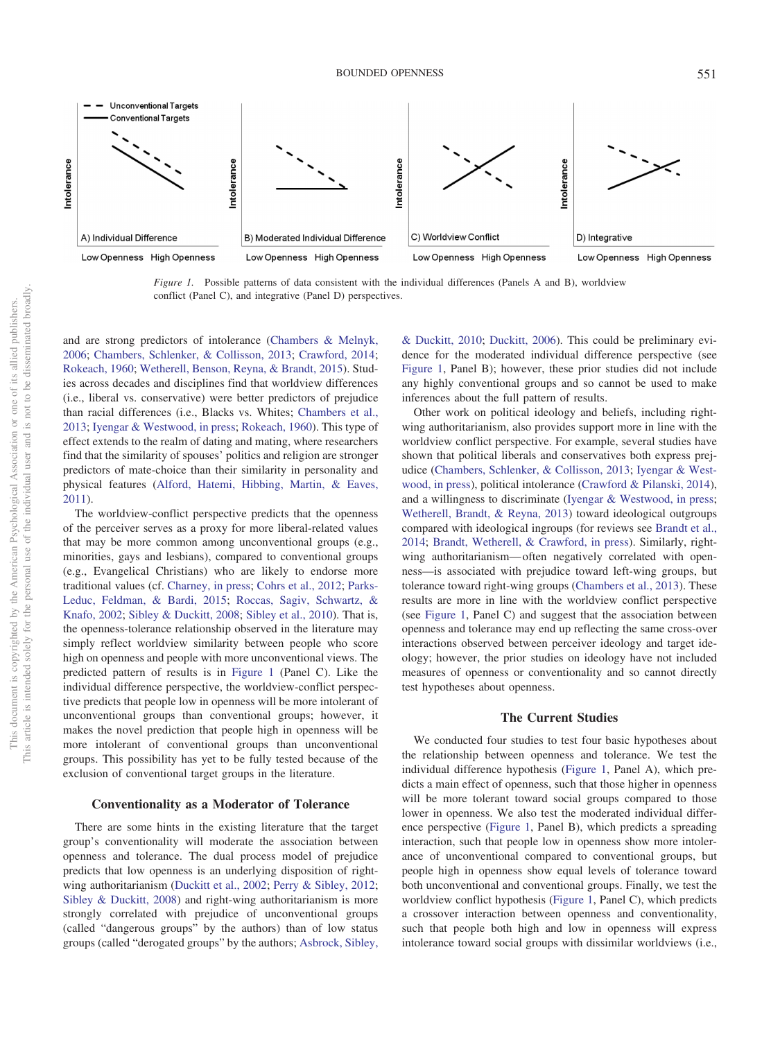

<span id="page-2-0"></span>*Figure 1.* Possible patterns of data consistent with the individual differences (Panels A and B), worldview conflict (Panel C), and integrative (Panel D) perspectives.

and are strong predictors of intolerance [\(Chambers & Melnyk,](#page-17-8) [2006;](#page-17-8) [Chambers, Schlenker, & Collisson, 2013;](#page-17-9) [Crawford, 2014;](#page-17-10) [Rokeach, 1960;](#page-18-20) [Wetherell, Benson, Reyna, & Brandt, 2015\)](#page-19-9). Studies across decades and disciplines find that worldview differences (i.e., liberal vs. conservative) were better predictors of prejudice than racial differences (i.e., Blacks vs. Whites; [Chambers et al.,](#page-17-9) [2013;](#page-17-9) [Iyengar & Westwood, in press;](#page-18-24) [Rokeach, 1960\)](#page-18-20). This type of effect extends to the realm of dating and mating, where researchers find that the similarity of spouses' politics and religion are stronger predictors of mate-choice than their similarity in personality and physical features [\(Alford, Hatemi, Hibbing, Martin, & Eaves,](#page-17-11) [2011\)](#page-17-11).

The worldview-conflict perspective predicts that the openness of the perceiver serves as a proxy for more liberal-related values that may be more common among unconventional groups (e.g., minorities, gays and lesbians), compared to conventional groups (e.g., Evangelical Christians) who are likely to endorse more traditional values (cf. [Charney, in press;](#page-17-5) [Cohrs et al., 2012;](#page-17-0) [Parks-](#page-18-15)[Leduc, Feldman, & Bardi, 2015;](#page-18-15) [Roccas, Sagiv, Schwartz, &](#page-18-4) [Knafo, 2002;](#page-18-4) [Sibley & Duckitt, 2008;](#page-18-6) [Sibley et al., 2010\)](#page-19-3). That is, the openness-tolerance relationship observed in the literature may simply reflect worldview similarity between people who score high on openness and people with more unconventional views. The predicted pattern of results is in [Figure 1](#page-2-0) (Panel C). Like the individual difference perspective, the worldview-conflict perspective predicts that people low in openness will be more intolerant of unconventional groups than conventional groups; however, it makes the novel prediction that people high in openness will be more intolerant of conventional groups than unconventional groups. This possibility has yet to be fully tested because of the exclusion of conventional target groups in the literature.

#### **Conventionality as a Moderator of Tolerance**

There are some hints in the existing literature that the target group's conventionality will moderate the association between openness and tolerance. The dual process model of prejudice predicts that low openness is an underlying disposition of rightwing authoritarianism [\(Duckitt et al., 2002;](#page-18-12) [Perry & Sibley, 2012;](#page-18-25) [Sibley & Duckitt, 2008\)](#page-18-6) and right-wing authoritarianism is more strongly correlated with prejudice of unconventional groups (called "dangerous groups" by the authors) than of low status groups (called "derogated groups" by the authors; [Asbrock, Sibley,](#page-17-12) [& Duckitt, 2010;](#page-17-12) [Duckitt, 2006\)](#page-18-26). This could be preliminary evidence for the moderated individual difference perspective (see [Figure 1,](#page-2-0) Panel B); however, these prior studies did not include any highly conventional groups and so cannot be used to make inferences about the full pattern of results.

Other work on political ideology and beliefs, including rightwing authoritarianism, also provides support more in line with the worldview conflict perspective. For example, several studies have shown that political liberals and conservatives both express prejudice [\(Chambers, Schlenker, & Collisson, 2013;](#page-17-9) [Iyengar & West](#page-18-24)[wood, in press\)](#page-18-24), political intolerance [\(Crawford & Pilanski, 2014\)](#page-17-13), and a willingness to discriminate [\(Iyengar & Westwood, in press;](#page-18-24) [Wetherell, Brandt, & Reyna, 2013\)](#page-19-10) toward ideological outgroups compared with ideological ingroups (for reviews see [Brandt et al.,](#page-17-4) [2014;](#page-17-4) [Brandt, Wetherell, & Crawford, in press\)](#page-17-14). Similarly, rightwing authoritarianism— often negatively correlated with openness—is associated with prejudice toward left-wing groups, but tolerance toward right-wing groups [\(Chambers et al., 2013\)](#page-17-9). These results are more in line with the worldview conflict perspective (see [Figure 1,](#page-2-0) Panel C) and suggest that the association between openness and tolerance may end up reflecting the same cross-over interactions observed between perceiver ideology and target ideology; however, the prior studies on ideology have not included measures of openness or conventionality and so cannot directly test hypotheses about openness.

# **The Current Studies**

We conducted four studies to test four basic hypotheses about the relationship between openness and tolerance. We test the individual difference hypothesis [\(Figure 1,](#page-2-0) Panel A), which predicts a main effect of openness, such that those higher in openness will be more tolerant toward social groups compared to those lower in openness. We also test the moderated individual difference perspective [\(Figure 1,](#page-2-0) Panel B), which predicts a spreading interaction, such that people low in openness show more intolerance of unconventional compared to conventional groups, but people high in openness show equal levels of tolerance toward both unconventional and conventional groups. Finally, we test the worldview conflict hypothesis [\(Figure 1,](#page-2-0) Panel C), which predicts a crossover interaction between openness and conventionality, such that people both high and low in openness will express intolerance toward social groups with dissimilar worldviews (i.e.,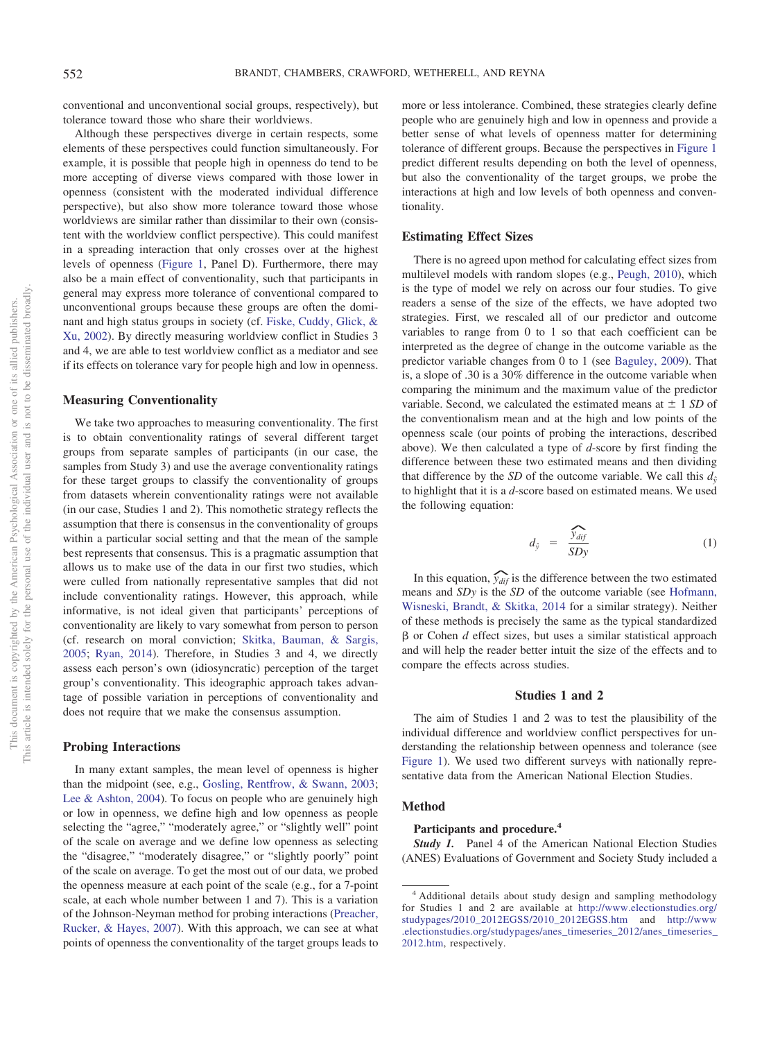conventional and unconventional social groups, respectively), but tolerance toward those who share their worldviews.

Although these perspectives diverge in certain respects, some elements of these perspectives could function simultaneously. For example, it is possible that people high in openness do tend to be more accepting of diverse views compared with those lower in openness (consistent with the moderated individual difference perspective), but also show more tolerance toward those whose worldviews are similar rather than dissimilar to their own (consistent with the worldview conflict perspective). This could manifest in a spreading interaction that only crosses over at the highest levels of openness [\(Figure 1,](#page-2-0) Panel D). Furthermore, there may also be a main effect of conventionality, such that participants in general may express more tolerance of conventional compared to unconventional groups because these groups are often the dominant and high status groups in society (cf. [Fiske, Cuddy, Glick, &](#page-18-27) [Xu, 2002\)](#page-18-27). By directly measuring worldview conflict in Studies 3 and 4, we are able to test worldview conflict as a mediator and see if its effects on tolerance vary for people high and low in openness.

#### **Measuring Conventionality**

We take two approaches to measuring conventionality. The first is to obtain conventionality ratings of several different target groups from separate samples of participants (in our case, the samples from Study 3) and use the average conventionality ratings for these target groups to classify the conventionality of groups from datasets wherein conventionality ratings were not available (in our case, Studies 1 and 2). This nomothetic strategy reflects the assumption that there is consensus in the conventionality of groups within a particular social setting and that the mean of the sample best represents that consensus. This is a pragmatic assumption that allows us to make use of the data in our first two studies, which were culled from nationally representative samples that did not include conventionality ratings. However, this approach, while informative, is not ideal given that participants' perceptions of conventionality are likely to vary somewhat from person to person (cf. research on moral conviction; [Skitka, Bauman, & Sargis,](#page-19-6) [2005;](#page-19-6) [Ryan, 2014\)](#page-18-28). Therefore, in Studies 3 and 4, we directly assess each person's own (idiosyncratic) perception of the target group's conventionality. This ideographic approach takes advantage of possible variation in perceptions of conventionality and does not require that we make the consensus assumption.

#### **Probing Interactions**

In many extant samples, the mean level of openness is higher than the midpoint (see, e.g., [Gosling, Rentfrow, & Swann, 2003;](#page-18-16) [Lee & Ashton, 2004\)](#page-18-17). To focus on people who are genuinely high or low in openness, we define high and low openness as people selecting the "agree," "moderately agree," or "slightly well" point of the scale on average and we define low openness as selecting the "disagree," "moderately disagree," or "slightly poorly" point of the scale on average. To get the most out of our data, we probed the openness measure at each point of the scale (e.g., for a 7-point scale, at each whole number between 1 and 7). This is a variation of the Johnson-Neyman method for probing interactions [\(Preacher,](#page-18-29) [Rucker, & Hayes, 2007\)](#page-18-29). With this approach, we can see at what points of openness the conventionality of the target groups leads to more or less intolerance. Combined, these strategies clearly define people who are genuinely high and low in openness and provide a better sense of what levels of openness matter for determining tolerance of different groups. Because the perspectives in [Figure 1](#page-2-0) predict different results depending on both the level of openness, but also the conventionality of the target groups, we probe the interactions at high and low levels of both openness and conventionality.

# **Estimating Effect Sizes**

There is no agreed upon method for calculating effect sizes from multilevel models with random slopes (e.g., [Peugh, 2010\)](#page-18-30), which is the type of model we rely on across our four studies. To give readers a sense of the size of the effects, we have adopted two strategies. First, we rescaled all of our predictor and outcome variables to range from 0 to 1 so that each coefficient can be interpreted as the degree of change in the outcome variable as the predictor variable changes from 0 to 1 (see [Baguley, 2009\)](#page-17-15). That is, a slope of .30 is a 30% difference in the outcome variable when comparing the minimum and the maximum value of the predictor variable. Second, we calculated the estimated means at  $\pm$  1 *SD* of the conventionalism mean and at the high and low points of the openness scale (our points of probing the interactions, described above). We then calculated a type of *d*-score by first finding the difference between these two estimated means and then dividing that difference by the *SD* of the outcome variable. We call this  $d<sub>\hat{y}</sub>$ to highlight that it is a *d*-score based on estimated means. We used the following equation:

$$
d_{\hat{y}} = \frac{\widehat{y_{dif}}}{SDy} \tag{1}
$$

SDy<br>In this equation,  $\hat{y}_{dif}$  is the difference between the two estimated means and *SDy* is the *SD* of the outcome variable (see [Hofmann,](#page-18-31) [Wisneski, Brandt, & Skitka, 2014](#page-18-31) for a similar strategy). Neither of these methods is precisely the same as the typical standardized  $\beta$  or Cohen  $d$  effect sizes, but uses a similar statistical approach and will help the reader better intuit the size of the effects and to compare the effects across studies.

### **Studies 1 and 2**

The aim of Studies 1 and 2 was to test the plausibility of the individual difference and worldview conflict perspectives for understanding the relationship between openness and tolerance (see [Figure 1\)](#page-2-0). We used two different surveys with nationally representative data from the American National Election Studies.

#### **Method**

# **Participants and procedure.4**

*Study 1.* Panel 4 of the American National Election Studies (ANES) Evaluations of Government and Society Study included a

<sup>4</sup> Additional details about study design and sampling methodology for Studies 1 and 2 are available at [http://www.electionstudies.org/](http://www.electionstudies.org/studypages/2010_2012EGSS/2010_2012EGSS.htm) [studypages/2010\\_2012EGSS/2010\\_2012EGSS.htm](http://www.electionstudies.org/studypages/2010_2012EGSS/2010_2012EGSS.htm) and [http://www](http://www.electionstudies.org/studypages/anes_timeseries_2012/anes_timeseries_2012.htm) [.electionstudies.org/studypages/anes\\_timeseries\\_2012/anes\\_timeseries\\_](http://www.electionstudies.org/studypages/anes_timeseries_2012/anes_timeseries_2012.htm) [2012.htm,](http://www.electionstudies.org/studypages/anes_timeseries_2012/anes_timeseries_2012.htm) respectively.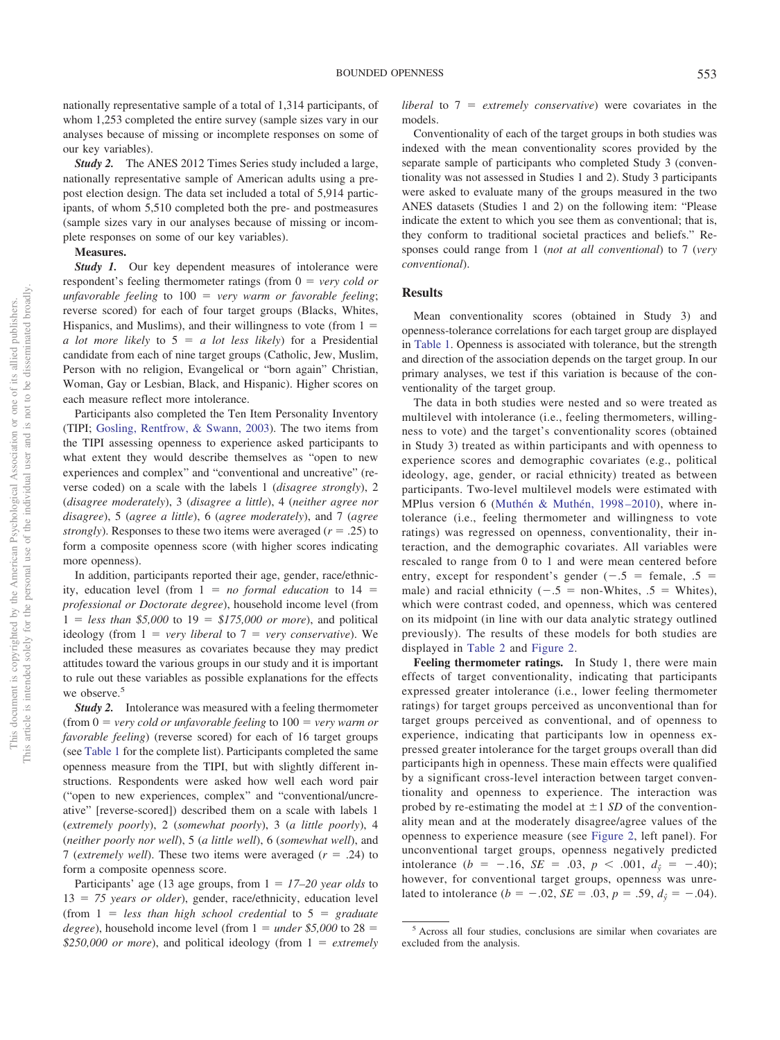nationally representative sample of a total of 1,314 participants, of whom 1,253 completed the entire survey (sample sizes vary in our analyses because of missing or incomplete responses on some of our key variables).

*Study 2.* The ANES 2012 Times Series study included a large, nationally representative sample of American adults using a prepost election design. The data set included a total of 5,914 participants, of whom 5,510 completed both the pre- and postmeasures (sample sizes vary in our analyses because of missing or incomplete responses on some of our key variables).

## **Measures.**

**Study 1.** Our key dependent measures of intolerance were respondent's feeling thermometer ratings (from  $0 = \text{very cold or}$ ) *unfavorable feeling* to  $100 = \text{very warm or favorable feeling}$ ; reverse scored) for each of four target groups (Blacks, Whites, Hispanics, and Muslims), and their willingness to vote (from  $1 =$ *a lot more likely* to 5 - *a lot less likely*) for a Presidential candidate from each of nine target groups (Catholic, Jew, Muslim, Person with no religion, Evangelical or "born again" Christian, Woman, Gay or Lesbian, Black, and Hispanic). Higher scores on each measure reflect more intolerance.

Participants also completed the Ten Item Personality Inventory (TIPI; [Gosling, Rentfrow, & Swann, 2003\)](#page-18-16). The two items from the TIPI assessing openness to experience asked participants to what extent they would describe themselves as "open to new experiences and complex" and "conventional and uncreative" (reverse coded) on a scale with the labels 1 (*disagree strongly*), 2 (*disagree moderately*), 3 (*disagree a little*), 4 (*neither agree nor disagree*), 5 (*agree a little*), 6 (*agree moderately*), and 7 (*agree strongly*). Responses to these two items were averaged ( $r = .25$ ) to form a composite openness score (with higher scores indicating more openness).

In addition, participants reported their age, gender, race/ethnicity, education level (from  $1 = no$  *formal education* to  $14 =$ *professional or Doctorate degree*), household income level (from  $1 =$  *less than* \$5,000 to  $19 =$  \$175,000 *or more*), and political ideology (from  $1 = very$  *liberal* to  $7 = very$  *conservative*). We included these measures as covariates because they may predict attitudes toward the various groups in our study and it is important to rule out these variables as possible explanations for the effects we observe.<sup>5</sup>

*Study 2.* Intolerance was measured with a feeling thermometer (from 0 - *very cold or unfavorable feeling* to 100 - *very warm or favorable feeling*) (reverse scored) for each of 16 target groups (see [Table 1](#page-5-0) for the complete list). Participants completed the same openness measure from the TIPI, but with slightly different instructions. Respondents were asked how well each word pair ("open to new experiences, complex" and "conventional/uncreative" [reverse-scored]) described them on a scale with labels 1 (*extremely poorly*), 2 (*somewhat poorly*), 3 (*a little poorly*), 4 (*neither poorly nor well*), 5 (*a little well*), 6 (*somewhat well*), and 7 (*extremely well*). These two items were averaged  $(r = .24)$  to form a composite openness score.

Participants' age (13 age groups, from  $1 = 17-20$  year olds to 13 = 75 years or older), gender, race/ethnicity, education level  $(from 1 = less than high school credentials to 5 = graduate$  $degree$ ), household income level (from  $1 = under $5,000$  to  $28 =$  $$250,000$  or more), and political ideology (from  $1 =$  *extremely* 

*liberal* to 7 = *extremely conservative*) were covariates in the models.

Conventionality of each of the target groups in both studies was indexed with the mean conventionality scores provided by the separate sample of participants who completed Study 3 (conventionality was not assessed in Studies 1 and 2). Study 3 participants were asked to evaluate many of the groups measured in the two ANES datasets (Studies 1 and 2) on the following item: "Please indicate the extent to which you see them as conventional; that is, they conform to traditional societal practices and beliefs." Responses could range from 1 (*not at all conventional*) to 7 (*very conventional*).

# **Results**

Mean conventionality scores (obtained in Study 3) and openness-tolerance correlations for each target group are displayed in [Table 1.](#page-5-0) Openness is associated with tolerance, but the strength and direction of the association depends on the target group. In our primary analyses, we test if this variation is because of the conventionality of the target group.

The data in both studies were nested and so were treated as multilevel with intolerance (i.e., feeling thermometers, willingness to vote) and the target's conventionality scores (obtained in Study 3) treated as within participants and with openness to experience scores and demographic covariates (e.g., political ideology, age, gender, or racial ethnicity) treated as between participants. Two-level multilevel models were estimated with MPlus version 6 [\(Muthén & Muthén, 1998 –2010\)](#page-18-32), where intolerance (i.e., feeling thermometer and willingness to vote ratings) was regressed on openness, conventionality, their interaction, and the demographic covariates. All variables were rescaled to range from 0 to 1 and were mean centered before entry, except for respondent's gender  $(-.5 =$  female,  $.5 =$ male) and racial ethnicity  $(-.5 = \text{non-Whites}, .5 = \text{Whites})$ , which were contrast coded, and openness, which was centered on its midpoint (in line with our data analytic strategy outlined previously). The results of these models for both studies are displayed in [Table 2](#page-6-0) and [Figure 2.](#page-6-1)

**Feeling thermometer ratings.** In Study 1, there were main effects of target conventionality, indicating that participants expressed greater intolerance (i.e., lower feeling thermometer ratings) for target groups perceived as unconventional than for target groups perceived as conventional, and of openness to experience, indicating that participants low in openness expressed greater intolerance for the target groups overall than did participants high in openness. These main effects were qualified by a significant cross-level interaction between target conventionality and openness to experience. The interaction was probed by re-estimating the model at  $\pm 1$  *SD* of the conventionality mean and at the moderately disagree/agree values of the openness to experience measure (see [Figure 2,](#page-6-1) left panel). For unconventional target groups, openness negatively predicted intolerance  $(b = -.16, SE = .03, p < .001, d<sub>\hat{y}</sub> = -.40);$ however, for conventional target groups, openness was unrelated to intolerance  $(b = -.02, SE = .03, p = .59, d<sub>\hat{y}</sub> = -.04)$ .

<sup>5</sup> Across all four studies, conclusions are similar when covariates are excluded from the analysis.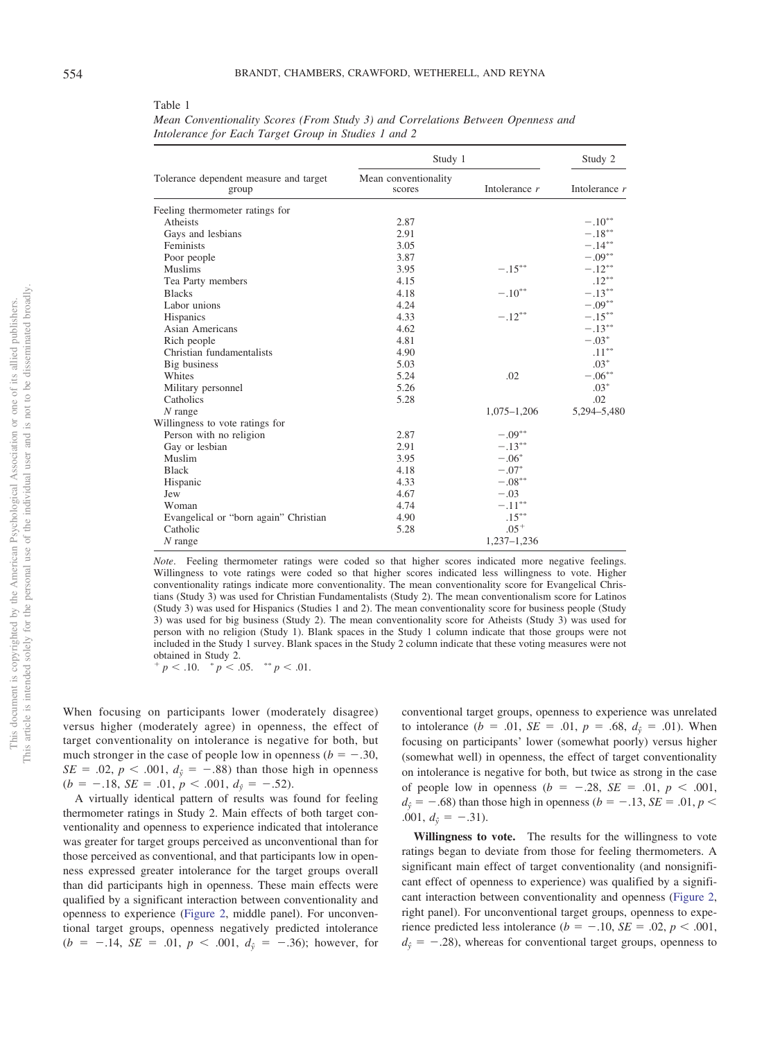|                                                 | Study 1                        | Study 2         |                  |
|-------------------------------------------------|--------------------------------|-----------------|------------------|
| Tolerance dependent measure and target<br>group | Mean conventionality<br>scores | Intolerance $r$ | Intolerance r    |
| Feeling thermometer ratings for                 |                                |                 |                  |
| Atheists                                        | 2.87                           |                 | $-.10**$         |
| Gays and lesbians                               | 2.91                           |                 | $-.18***$        |
| Feminists                                       | 3.05                           |                 | $-.14***$        |
| Poor people                                     | 3.87                           |                 | $-.09**$         |
| <b>Muslims</b>                                  | 3.95                           | $-.15***$       | $-.12***$        |
| Tea Party members                               | 4.15                           |                 | $.12***$         |
| <b>Blacks</b>                                   | 4.18                           | $-.10**$        | $-.13***$        |
| Labor unions                                    | 4.24                           |                 | $-.09***$        |
| Hispanics                                       | 4.33                           | $-.12***$       | $-.15***$        |
| Asian Americans                                 | 4.62                           |                 | $-.13***$        |
| Rich people                                     | 4.81                           |                 | $-.03*$          |
| Christian fundamentalists                       | 4.90                           |                 | $.11^{\ast\ast}$ |
| Big business                                    | 5.03                           |                 | $.03*$           |
| Whites                                          | 5.24                           | .02             | $-.06***$        |
| Military personnel                              | 5.26                           |                 | $.03*$           |
| Catholics                                       | 5.28                           |                 | .02              |
| $N$ range                                       |                                | $1,075 - 1,206$ | 5,294-5,480      |
| Willingness to vote ratings for                 |                                |                 |                  |
| Person with no religion                         | 2.87                           | $-.09**$        |                  |
| Gay or lesbian                                  | 2.91                           | $-.13***$       |                  |
| Muslim                                          | 3.95                           | $-.06*$         |                  |
| <b>Black</b>                                    | 4.18                           | $-.07*$         |                  |
| Hispanic                                        | 4.33                           | $-.08***$       |                  |
| Jew                                             | 4.67                           | $-.03$          |                  |
| Woman                                           | 4.74                           | $-.11***$       |                  |
| Evangelical or "born again" Christian           | 4.90                           | $.15***$        |                  |
| Catholic                                        | 5.28                           | $.05^{+}$       |                  |
| $N$ range                                       |                                | $1,237-1,236$   |                  |

*Mean Conventionality Scores (From Study 3) and Correlations Between Openness and Intolerance for Each Target Group in Studies 1 and 2*

*Note*. Feeling thermometer ratings were coded so that higher scores indicated more negative feelings. Willingness to vote ratings were coded so that higher scores indicated less willingness to vote. Higher conventionality ratings indicate more conventionality. The mean conventionality score for Evangelical Christians (Study 3) was used for Christian Fundamentalists (Study 2). The mean conventionalism score for Latinos (Study 3) was used for Hispanics (Studies 1 and 2). The mean conventionality score for business people (Study 3) was used for big business (Study 2). The mean conventionality score for Atheists (Study 3) was used for person with no religion (Study 1). Blank spaces in the Study 1 column indicate that those groups were not included in the Study 1 survey. Blank spaces in the Study 2 column indicate that these voting measures were not obtained in Study 2.

 $p^+$  *p* < .10.  $p^+$  *p* < .05.  $p^*$  *p* < .01.

When focusing on participants lower (moderately disagree) versus higher (moderately agree) in openness, the effect of target conventionality on intolerance is negative for both, but much stronger in the case of people low in openness ( $b = -.30$ ,  $SE = .02$ ,  $p < .001$ ,  $d<sub>\hat{y}</sub> = -.88$ ) than those high in openness  $(b = -.18, SE = .01, p < .001, d<sub>\hat{y} = -.52).</sub>$ 

A virtually identical pattern of results was found for feeling thermometer ratings in Study 2. Main effects of both target conventionality and openness to experience indicated that intolerance was greater for target groups perceived as unconventional than for those perceived as conventional, and that participants low in openness expressed greater intolerance for the target groups overall than did participants high in openness. These main effects were qualified by a significant interaction between conventionality and openness to experience [\(Figure 2,](#page-6-1) middle panel). For unconventional target groups, openness negatively predicted intolerance  $(b = -0.14, \, SE = 0.01, \, p < 0.001, \, d_{\hat{y}} = -0.36$ ; however, for conventional target groups, openness to experience was unrelated to intolerance  $(b = .01, SE = .01, p = .68, d<sub>\hat{y}</sub> = .01)$ . When focusing on participants' lower (somewhat poorly) versus higher (somewhat well) in openness, the effect of target conventionality on intolerance is negative for both, but twice as strong in the case of people low in openness  $(b = -.28, SE = .01, p < .001,$  $d_{\hat{y}} = -.68$ ) than those high in openness ( $b = -.13$ ,  $SE = .01$ ,  $p <$ .001,  $d_{\hat{y}} = -.31$ ).

**Willingness to vote.** The results for the willingness to vote ratings began to deviate from those for feeling thermometers. A significant main effect of target conventionality (and nonsignificant effect of openness to experience) was qualified by a significant interaction between conventionality and openness [\(Figure 2,](#page-6-1) right panel). For unconventional target groups, openness to experience predicted less intolerance  $(b = -.10, SE = .02, p < .001,$  $d_{\hat{y}} = -.28$ ), whereas for conventional target groups, openness to

<span id="page-5-0"></span>Table 1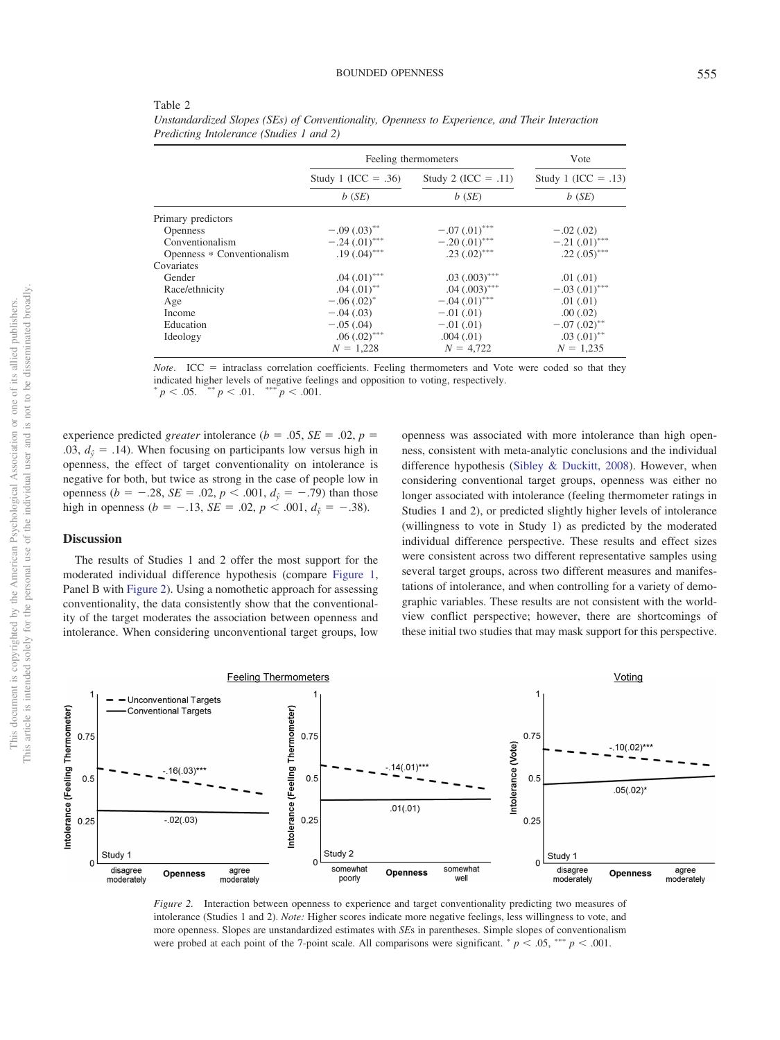|                            | Feeling thermometers     |                     | Vote                |  |
|----------------------------|--------------------------|---------------------|---------------------|--|
|                            | Study 1 (ICC = .36)      | Study 2 (ICC = .11) | Study 1 (ICC = .13) |  |
|                            | b(SE)                    | $b$ (SE)            | $b$ (SE)            |  |
| Primary predictors         |                          |                     |                     |  |
| <b>Openness</b>            | $-.09(.03)$ **           | $-.07(.01)$ ***     | $-.02(.02)$         |  |
| Conventionalism            | $-.24(.01)$ ***          | $-.20(.01)$ ***     | $-.21(.01)$ ***     |  |
| Openness * Conventionalism | $.19(.04)$ ***           | $.23(.02)$ ***      | $.22(.05)$ ***      |  |
| Covariates                 |                          |                     |                     |  |
| Gender                     | $.04(.01)$ ***           | $.03(.003)$ ***     | .01(0.01)           |  |
| Race/ethnicity             | $.04(.01)$ <sup>**</sup> | $.04(.003)$ ***     | $-.03(.01)$ ***     |  |
| Age                        | $-.06(.02)^*$            | $-.04(.01)$ ***     | .01(.01)            |  |
| Income                     | $-.04(.03)$              | $-.01(.01)$         | .00(.02)            |  |
| Education                  | $-.05(.04)$              | $-.01(.01)$         | $-.07(.02)$ **      |  |
| Ideology                   | $.06(.02)$ ***           | .004(.01)           | $.03$ $(.01)^{**}$  |  |
|                            | $N = 1.228$              | $N = 4.722$         | $N = 1.235$         |  |

| Unstandardized Slopes (SEs) of Conventionality, Openness to Experience, and Their Interaction |  |  |
|-----------------------------------------------------------------------------------------------|--|--|
| Predicting Intolerance (Studies 1 and 2)                                                      |  |  |

*Note.* ICC = intraclass correlation coefficients. Feeling thermometers and Vote were coded so that they indicated higher levels of negative feelings and opposition to voting, respectively.  $p < .05.$ <sup>\*</sup>

 $p < .01.$  \*\*\*  $p < .001.$ 

experience predicted *greater* intolerance ( $b = .05$ ,  $SE = .02$ ,  $p =$ .03,  $d_{\hat{y}} = .14$ ). When focusing on participants low versus high in openness, the effect of target conventionality on intolerance is negative for both, but twice as strong in the case of people low in openness ( $b = -.28$ ,  $SE = .02$ ,  $p < .001$ ,  $d_{\hat{y}} = -.79$ ) than those high in openness ( $b = -.13$ ,  $SE = .02$ ,  $p < .001$ ,  $d<sub>\hat{y}</sub> = -.38$ ).

<span id="page-6-0"></span>Table 2

# **Discussion**

The results of Studies 1 and 2 offer the most support for the moderated individual difference hypothesis (compare [Figure 1,](#page-2-0) Panel B with [Figure 2\)](#page-6-1). Using a nomothetic approach for assessing conventionality, the data consistently show that the conventionality of the target moderates the association between openness and intolerance. When considering unconventional target groups, low openness was associated with more intolerance than high openness, consistent with meta-analytic conclusions and the individual difference hypothesis [\(Sibley & Duckitt, 2008\)](#page-18-6). However, when considering conventional target groups, openness was either no longer associated with intolerance (feeling thermometer ratings in Studies 1 and 2), or predicted slightly higher levels of intolerance (willingness to vote in Study 1) as predicted by the moderated individual difference perspective. These results and effect sizes were consistent across two different representative samples using several target groups, across two different measures and manifestations of intolerance, and when controlling for a variety of demographic variables. These results are not consistent with the worldview conflict perspective; however, there are shortcomings of these initial two studies that may mask support for this perspective.



<span id="page-6-1"></span>*Figure 2.* Interaction between openness to experience and target conventionality predicting two measures of intolerance (Studies 1 and 2). *Note:* Higher scores indicate more negative feelings, less willingness to vote, and more openness. Slopes are unstandardized estimates with *SE*s in parentheses. Simple slopes of conventionalism were probed at each point of the 7-point scale. All comparisons were significant.  $p < .05$ ,  $p < .001$ .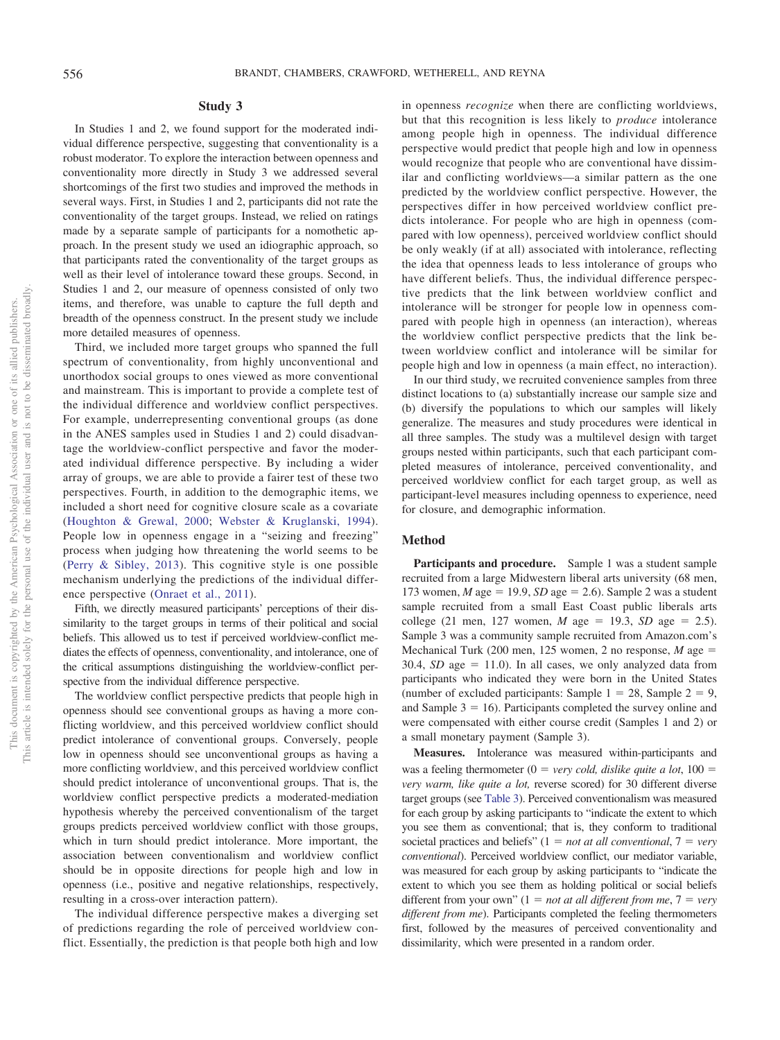# **Study 3**

In Studies 1 and 2, we found support for the moderated individual difference perspective, suggesting that conventionality is a robust moderator. To explore the interaction between openness and conventionality more directly in Study 3 we addressed several shortcomings of the first two studies and improved the methods in several ways. First, in Studies 1 and 2, participants did not rate the conventionality of the target groups. Instead, we relied on ratings made by a separate sample of participants for a nomothetic approach. In the present study we used an idiographic approach, so that participants rated the conventionality of the target groups as well as their level of intolerance toward these groups. Second, in Studies 1 and 2, our measure of openness consisted of only two items, and therefore, was unable to capture the full depth and breadth of the openness construct. In the present study we include more detailed measures of openness.

Third, we included more target groups who spanned the full spectrum of conventionality, from highly unconventional and unorthodox social groups to ones viewed as more conventional and mainstream. This is important to provide a complete test of the individual difference and worldview conflict perspectives. For example, underrepresenting conventional groups (as done in the ANES samples used in Studies 1 and 2) could disadvantage the worldview-conflict perspective and favor the moderated individual difference perspective. By including a wider array of groups, we are able to provide a fairer test of these two perspectives. Fourth, in addition to the demographic items, we included a short need for cognitive closure scale as a covariate [\(Houghton & Grewal, 2000;](#page-18-33) [Webster & Kruglanski, 1994\)](#page-19-11). People low in openness engage in a "seizing and freezing" process when judging how threatening the world seems to be [\(Perry & Sibley, 2013\)](#page-18-14). This cognitive style is one possible mechanism underlying the predictions of the individual difference perspective [\(Onraet et al., 2011\)](#page-18-13).

Fifth, we directly measured participants' perceptions of their dissimilarity to the target groups in terms of their political and social beliefs. This allowed us to test if perceived worldview-conflict mediates the effects of openness, conventionality, and intolerance, one of the critical assumptions distinguishing the worldview-conflict perspective from the individual difference perspective.

The worldview conflict perspective predicts that people high in openness should see conventional groups as having a more conflicting worldview, and this perceived worldview conflict should predict intolerance of conventional groups. Conversely, people low in openness should see unconventional groups as having a more conflicting worldview, and this perceived worldview conflict should predict intolerance of unconventional groups. That is, the worldview conflict perspective predicts a moderated-mediation hypothesis whereby the perceived conventionalism of the target groups predicts perceived worldview conflict with those groups, which in turn should predict intolerance. More important, the association between conventionalism and worldview conflict should be in opposite directions for people high and low in openness (i.e., positive and negative relationships, respectively, resulting in a cross-over interaction pattern).

The individual difference perspective makes a diverging set of predictions regarding the role of perceived worldview conflict. Essentially, the prediction is that people both high and low

in openness *recognize* when there are conflicting worldviews, but that this recognition is less likely to *produce* intolerance among people high in openness. The individual difference perspective would predict that people high and low in openness would recognize that people who are conventional have dissimilar and conflicting worldviews—a similar pattern as the one predicted by the worldview conflict perspective. However, the perspectives differ in how perceived worldview conflict predicts intolerance. For people who are high in openness (compared with low openness), perceived worldview conflict should be only weakly (if at all) associated with intolerance, reflecting the idea that openness leads to less intolerance of groups who have different beliefs. Thus, the individual difference perspective predicts that the link between worldview conflict and intolerance will be stronger for people low in openness compared with people high in openness (an interaction), whereas the worldview conflict perspective predicts that the link between worldview conflict and intolerance will be similar for people high and low in openness (a main effect, no interaction).

In our third study, we recruited convenience samples from three distinct locations to (a) substantially increase our sample size and (b) diversify the populations to which our samples will likely generalize. The measures and study procedures were identical in all three samples. The study was a multilevel design with target groups nested within participants, such that each participant completed measures of intolerance, perceived conventionality, and perceived worldview conflict for each target group, as well as participant-level measures including openness to experience, need for closure, and demographic information.

# **Method**

**Participants and procedure.** Sample 1 was a student sample recruited from a large Midwestern liberal arts university (68 men, 173 women,  $M$  age = 19.9,  $SD$  age = 2.6). Sample 2 was a student sample recruited from a small East Coast public liberals arts college (21 men, 127 women, *M* age = 19.3, *SD* age = 2.5). Sample 3 was a community sample recruited from Amazon.com's Mechanical Turk (200 men,  $125$  women, 2 no response,  $M$  age  $=$  $30.4$ ,  $SD$  age  $= 11.0$ ). In all cases, we only analyzed data from participants who indicated they were born in the United States (number of excluded participants: Sample  $1 = 28$ , Sample  $2 = 9$ , and Sample  $3 = 16$ ). Participants completed the survey online and were compensated with either course credit (Samples 1 and 2) or a small monetary payment (Sample 3).

**Measures.** Intolerance was measured within-participants and was a feeling thermometer  $(0 = \text{very cold, dislike quite a lot}, 100 =$ *very warm, like quite a lot,* reverse scored) for 30 different diverse target groups (see [Table 3\)](#page-8-0). Perceived conventionalism was measured for each group by asking participants to "indicate the extent to which you see them as conventional; that is, they conform to traditional societal practices and beliefs"  $(1 = not at all conventional, 7 = very$ *conventional*). Perceived worldview conflict, our mediator variable, was measured for each group by asking participants to "indicate the extent to which you see them as holding political or social beliefs different from your own"  $(1 = not at all different from me, 7 = very$ *different from me*). Participants completed the feeling thermometers first, followed by the measures of perceived conventionality and dissimilarity, which were presented in a random order.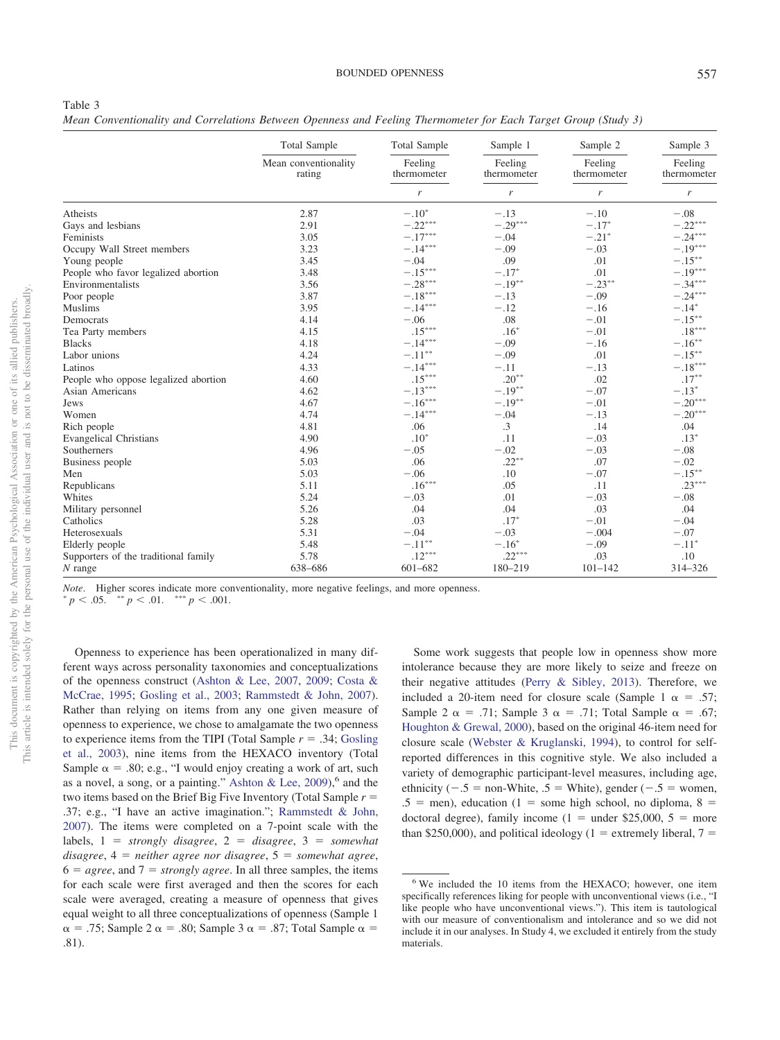#### BOUNDED OPENNESS 557

# <span id="page-8-0"></span>Table 3

*Mean Conventionality and Correlations Between Openness and Feeling Thermometer for Each Target Group (Study 3)*

|                                      | <b>Total Sample</b>            | <b>Total Sample</b>    | Sample 1               | Sample 2               | Sample 3               |
|--------------------------------------|--------------------------------|------------------------|------------------------|------------------------|------------------------|
|                                      | Mean conventionality<br>rating | Feeling<br>thermometer | Feeling<br>thermometer | Feeling<br>thermometer | Feeling<br>thermometer |
|                                      |                                | $\mathfrak{r}$         | $\mathbf{r}$           | $\mathfrak{r}$         | r                      |
| Atheists                             | 2.87                           | $-.10*$                | $-.13$                 | $-.10$                 | $-.08$                 |
| Gays and lesbians                    | 2.91                           | $-.22***$              | $-.29***$              | $-.17*$                | $-.22***$              |
| Feminists                            | 3.05                           | $-.17***$              | $-.04$                 | $-.21*$                | $-.24***$              |
| Occupy Wall Street members           | 3.23                           | $-.14***$              | $-.09$                 | $-.03$                 | $-.19***$              |
| Young people                         | 3.45                           | $-.04$                 | .09                    | .01                    | $-.15***$              |
| People who favor legalized abortion  | 3.48                           | $-.15***$              | $-.17*$                | .01                    | $-.19***$              |
| Environmentalists                    | 3.56                           | $-.28***$              | $-.19***$              | $-.23**$               | $-.34***$              |
| Poor people                          | 3.87                           | $-.18***$              | $-.13$                 | $-.09$                 | $-.24***$              |
| <b>Muslims</b>                       | 3.95                           | $-.14***$              | $-.12$                 | $-.16$                 | $-.14*$                |
| Democrats                            | 4.14                           | $-.06$                 | .08                    | $-.01$                 | $-.15***$              |
| Tea Party members                    | 4.15                           | $.15***$               | $.16*$                 | $-.01$                 | $.18***$               |
| <b>Blacks</b>                        | 4.18                           | $-.14***$              | $-.09$                 | $-.16$                 | $-.16***$              |
| Labor unions                         | 4.24                           | $-.11***$              | $-.09$                 | .01                    | $-.15***$              |
| Latinos                              | 4.33                           | $-.14***$              | $-.11$                 | $-.13$                 | $-.18***$              |
| People who oppose legalized abortion | 4.60                           | $.15***$               | $.20***$               | .02                    | $.17***$               |
| Asian Americans                      | 4.62                           | $-.13***$              | $-.19***$              | $-.07$                 | $-.13*$                |
| Jews                                 | 4.67                           | $-.16***$              | $-.19***$              | $-.01$                 | $-.20***$              |
| Women                                | 4.74                           | $-.14***$              | $-.04$                 | $-.13$                 | $-.20***$              |
| Rich people                          | 4.81                           | .06                    | .3                     | .14                    | .04                    |
| <b>Evangelical Christians</b>        | 4.90                           | $.10*$                 | .11                    | $-.03$                 | $.13*$                 |
| Southerners                          | 4.96                           | $-.05$                 | $-.02$                 | $-.03$                 | $-.08$                 |
| Business people                      | 5.03                           | .06                    | $.22***$               | .07                    | $-.02$                 |
| Men                                  | 5.03                           | $-.06$                 | .10                    | $-.07$                 | $-.15***$              |
| Republicans                          | 5.11                           | $.16***$               | .05                    | .11                    | $.23***$               |
| Whites                               | 5.24                           | $-.03$                 | .01                    | $-.03$                 | $-.08$                 |
| Military personnel                   | 5.26                           | .04                    | .04                    | .03                    | .04                    |
| Catholics                            | 5.28                           | .03                    | $.17*$                 | $-.01$                 | $-.04$                 |
| Heterosexuals                        | 5.31                           | $-.04$                 | $-.03$                 | $-.004$                | $-.07$                 |
| Elderly people                       | 5.48                           | $-.11***$              | $-.16*$                | $-.09$                 | $-.11*$                |
| Supporters of the traditional family | 5.78                           | $.12***$               | $.22***$               | .03                    | .10                    |
| $N$ range                            | 638-686                        | 601-682                | 180-219                | $101 - 142$            | 314-326                |

*Note.* Higher scores indicate more conventionality, more negative feelings, and more openness.

 $p < .05.$  \*\*  $p < .01.$  \*\*\*  $p < .001.$ 

Openness to experience has been operationalized in many different ways across personality taxonomies and conceptualizations of the openness construct [\(Ashton & Lee, 2007,](#page-17-16) [2009;](#page-17-17) [Costa &](#page-17-18) [McCrae, 1995;](#page-17-18) [Gosling et al., 2003;](#page-18-16) [Rammstedt & John, 2007\)](#page-18-34). Rather than relying on items from any one given measure of openness to experience, we chose to amalgamate the two openness to experience items from the TIPI (Total Sample  $r = .34$ ; [Gosling](#page-18-16) [et al., 2003\)](#page-18-16), nine items from the HEXACO inventory (Total Sample  $\alpha = .80$ ; e.g., "I would enjoy creating a work of art, such as a novel, a song, or a painting." Ashton & Lee,  $2009$ ,  $6$  and the two items based on the Brief Big Five Inventory (Total Sample  $r =$ .37; e.g., "I have an active imagination."; [Rammstedt & John,](#page-18-34) [2007\)](#page-18-34). The items were completed on a 7-point scale with the  $labels, 1 = strongly disagree, 2 = disagree, 3 = somewhat$ disagree,  $4 =$  neither agree nor disagree,  $5 =$  somewhat agree,  $6 = agree$ , and  $7 = strongly agree$ . In all three samples, the items for each scale were first averaged and then the scores for each scale were averaged, creating a measure of openness that gives equal weight to all three conceptualizations of openness (Sample 1  $\alpha = .75$ ; Sample 2  $\alpha = .80$ ; Sample 3  $\alpha = .87$ ; Total Sample  $\alpha =$ .81).

Some work suggests that people low in openness show more intolerance because they are more likely to seize and freeze on their negative attitudes [\(Perry & Sibley, 2013\)](#page-18-14). Therefore, we included a 20-item need for closure scale (Sample 1  $\alpha = .57$ ; Sample 2  $\alpha$  = .71; Sample 3  $\alpha$  = .71; Total Sample  $\alpha$  = .67; [Houghton & Grewal, 2000\)](#page-18-33), based on the original 46-item need for closure scale [\(Webster & Kruglanski, 1994\)](#page-19-11), to control for selfreported differences in this cognitive style. We also included a variety of demographic participant-level measures, including age, ethnicity ( $-0.5$  = non-White,  $0.5$  = White), gender ( $-0.5$  = women,  $.5 =$  men), education (1 = some high school, no diploma, 8 = doctoral degree), family income  $(1 =$  under \$25,000,  $5 =$  more than \$250,000), and political ideology ( $1 =$  extremely liberal,  $7 =$ 

<sup>&</sup>lt;sup>6</sup> We included the 10 items from the HEXACO; however, one item specifically references liking for people with unconventional views (i.e., "I like people who have unconventional views."). This item is tautological with our measure of conventionalism and intolerance and so we did not include it in our analyses. In Study 4, we excluded it entirely from the study materials.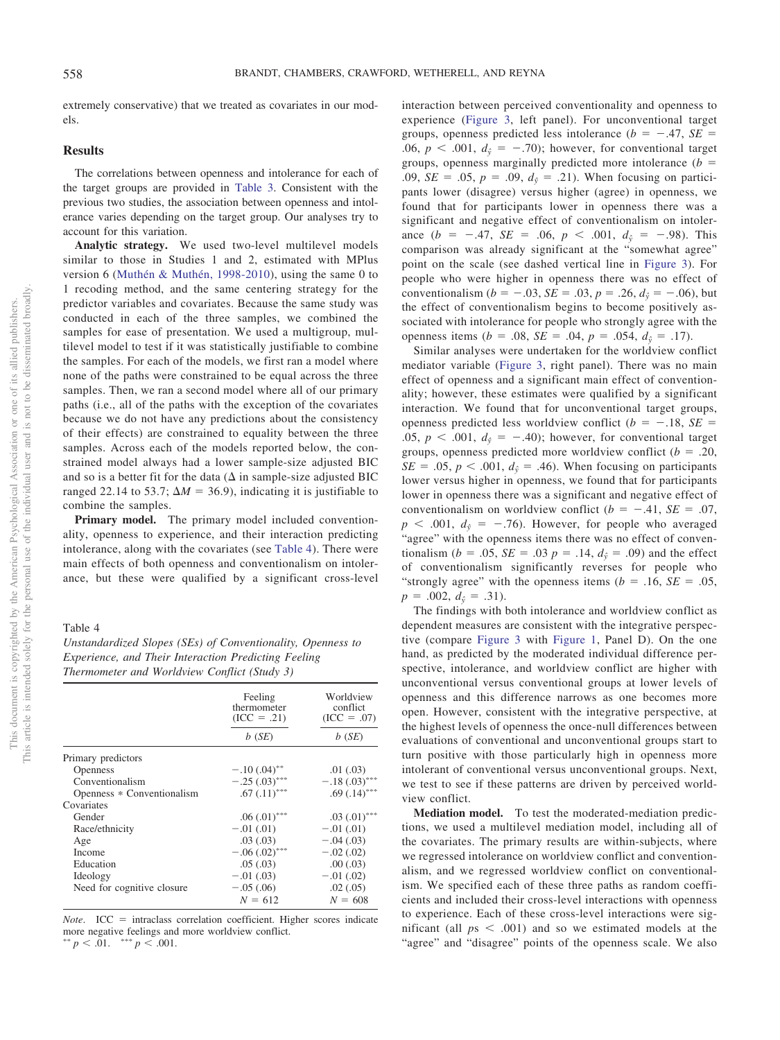extremely conservative) that we treated as covariates in our models.

# **Results**

The correlations between openness and intolerance for each of the target groups are provided in [Table 3.](#page-8-0) Consistent with the previous two studies, the association between openness and intolerance varies depending on the target group. Our analyses try to account for this variation.

**Analytic strategy.** We used two-level multilevel models similar to those in Studies 1 and 2, estimated with MPlus version 6 [\(Muthén & Muthén, 1998-2010\)](#page-18-32), using the same 0 to 1 recoding method, and the same centering strategy for the predictor variables and covariates. Because the same study was conducted in each of the three samples, we combined the samples for ease of presentation. We used a multigroup, multilevel model to test if it was statistically justifiable to combine the samples. For each of the models, we first ran a model where none of the paths were constrained to be equal across the three samples. Then, we ran a second model where all of our primary paths (i.e., all of the paths with the exception of the covariates because we do not have any predictions about the consistency of their effects) are constrained to equality between the three samples. Across each of the models reported below, the constrained model always had a lower sample-size adjusted BIC and so is a better fit for the data  $(\Delta$  in sample-size adjusted BIC ranged 22.14 to 53.7;  $\Delta M = 36.9$ ), indicating it is justifiable to combine the samples.

**Primary model.** The primary model included conventionality, openness to experience, and their interaction predicting intolerance, along with the covariates (see [Table 4\)](#page-9-0). There were main effects of both openness and conventionalism on intolerance, but these were qualified by a significant cross-level

# <span id="page-9-0"></span>Table 4

*Unstandardized Slopes (SEs) of Conventionality, Openness to Experience, and Their Interaction Predicting Feeling Thermometer and Worldview Conflict (Study 3)*

|                            | Feeling<br>thermometer<br>$(ICC = .21)$ | Worldview<br>conflict<br>$(ICC = .07)$ |
|----------------------------|-----------------------------------------|----------------------------------------|
|                            | $b$ (SE)                                | $b$ (SE)                               |
| Primary predictors         |                                         |                                        |
| <b>Openness</b>            | $-.10(.04)$ <sup>**</sup>               | .01(0.03)                              |
| Conventionalism            | $-.25(.03)$ ***                         | $-.18(.03)$ ***                        |
| Openness * Conventionalism | $.67(.11)$ ***                          | $.69(.14)$ ***                         |
| Covariates                 |                                         |                                        |
| Gender                     | $.06(.01)$ ***                          | $.03$ $(.01)$ ***                      |
| Race/ethnicity             | $-.01(.01)$                             | $-.01(.01)$                            |
| Age                        | .03(0.03)                               | $-.04(.03)$                            |
| Income                     | $-.06(.02)$ ***                         | $-.02(.02)$                            |
| Education                  | .05(.03)                                | .00(.03)                               |
| Ideology                   | $-.01(.03)$                             | $-.01(.02)$                            |
| Need for cognitive closure | $-.05(.06)$                             | .02(.05)                               |
|                            | $N = 612$                               | $N = 608$                              |

*Note*. ICC = intraclass correlation coefficient. Higher scores indicate more negative feelings and more worldview conflict. \*\*  $p < .01.$  \*\*\*  $p < .001.$ 

interaction between perceived conventionality and openness to experience [\(Figure 3,](#page-10-0) left panel). For unconventional target groups, openness predicted less intolerance ( $b = -.47$ ,  $SE =$ .06,  $p < .001$ ,  $d_{\hat{y}} = -.70$ ; however, for conventional target groups, openness marginally predicted more intolerance  $(b =$ .09, *SE* = .05,  $p = .09$ ,  $d_{\hat{y}} = .21$ ). When focusing on participants lower (disagree) versus higher (agree) in openness, we found that for participants lower in openness there was a significant and negative effect of conventionalism on intolerance  $(b = -.47, SE = .06, p < .001, d<sub>\hat{y}</sub> = -.98)$ . This comparison was already significant at the "somewhat agree" point on the scale (see dashed vertical line in [Figure 3\)](#page-10-0). For people who were higher in openness there was no effect of conventionalism ( $b = -.03$ ,  $SE = .03$ ,  $p = .26$ ,  $d<sub>y</sub> = -.06$ ), but the effect of conventionalism begins to become positively associated with intolerance for people who strongly agree with the openness items ( $b = .08$ ,  $SE = .04$ ,  $p = .054$ ,  $d_{\hat{y}} = .17$ ).

Similar analyses were undertaken for the worldview conflict mediator variable [\(Figure 3,](#page-10-0) right panel). There was no main effect of openness and a significant main effect of conventionality; however, these estimates were qualified by a significant interaction. We found that for unconventional target groups, openness predicted less worldview conflict ( $b = -.18$ ,  $SE =$ .05,  $p < .001$ ,  $d<sub>\hat{y}</sub> = -.40$ ; however, for conventional target groups, openness predicted more worldview conflict  $(b = .20, )$  $SE = .05$ ,  $p < .001$ ,  $d<sub>\hat{y}</sub> = .46$ ). When focusing on participants lower versus higher in openness, we found that for participants lower in openness there was a significant and negative effect of conventionalism on worldview conflict  $(b = -.41, SE = .07,$  $p \leq 0.001$ ,  $d_{\hat{y}} = -0.76$ . However, for people who averaged "agree" with the openness items there was no effect of conventionalism (*b* = .05, *SE* = .03 *p* = .14,  $d_{\hat{y}}$  = .09) and the effect of conventionalism significantly reverses for people who "strongly agree" with the openness items  $(b = .16, SE = .05,$  $p = .002, d_{\hat{y}} = .31$ .

The findings with both intolerance and worldview conflict as dependent measures are consistent with the integrative perspective (compare [Figure 3](#page-10-0) with [Figure 1,](#page-2-0) Panel D). On the one hand, as predicted by the moderated individual difference perspective, intolerance, and worldview conflict are higher with unconventional versus conventional groups at lower levels of openness and this difference narrows as one becomes more open. However, consistent with the integrative perspective, at the highest levels of openness the once-null differences between evaluations of conventional and unconventional groups start to turn positive with those particularly high in openness more intolerant of conventional versus unconventional groups. Next, we test to see if these patterns are driven by perceived worldview conflict.

**Mediation model.** To test the moderated-mediation predictions, we used a multilevel mediation model, including all of the covariates. The primary results are within-subjects, where we regressed intolerance on worldview conflict and conventionalism, and we regressed worldview conflict on conventionalism. We specified each of these three paths as random coefficients and included their cross-level interactions with openness to experience. Each of these cross-level interactions were significant (all  $ps < .001$ ) and so we estimated models at the "agree" and "disagree" points of the openness scale. We also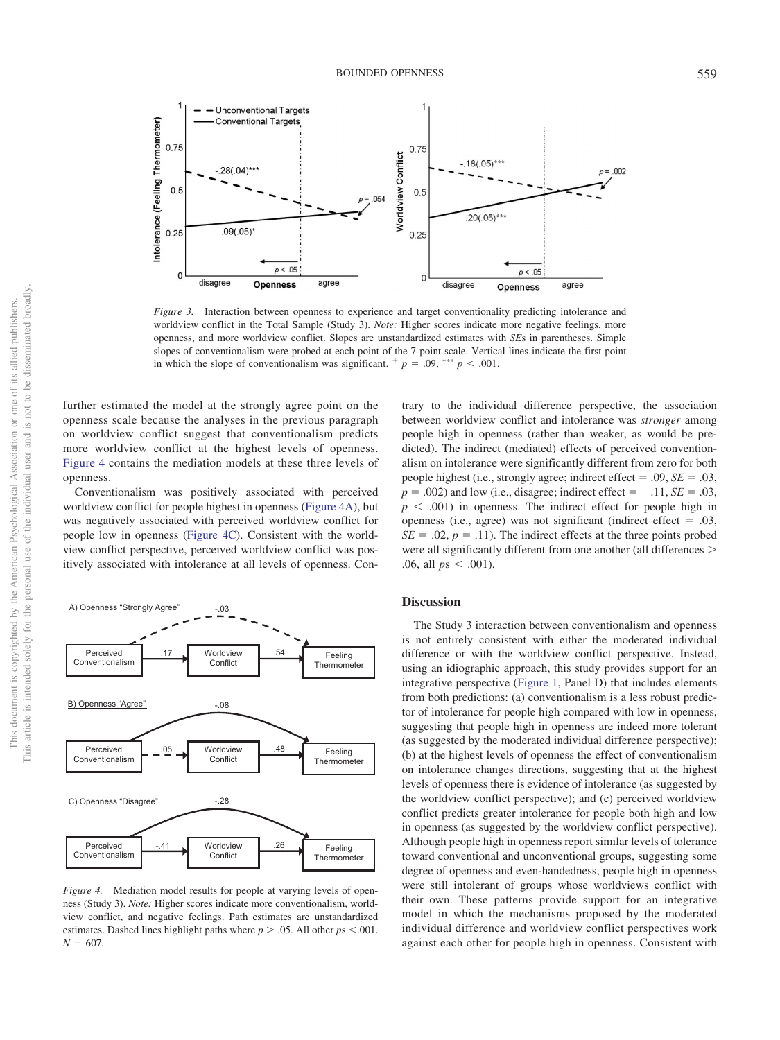

<span id="page-10-0"></span>*Figure 3.* Interaction between openness to experience and target conventionality predicting intolerance and worldview conflict in the Total Sample (Study 3). *Note:* Higher scores indicate more negative feelings, more openness, and more worldview conflict. Slopes are unstandardized estimates with *SE*s in parentheses. Simple slopes of conventionalism were probed at each point of the 7-point scale. Vertical lines indicate the first point in which the slope of conventionalism was significant.  $p = .09$ , \*\*\*  $p < .001$ .

further estimated the model at the strongly agree point on the openness scale because the analyses in the previous paragraph on worldview conflict suggest that conventionalism predicts more worldview conflict at the highest levels of openness. [Figure 4](#page-10-1) contains the mediation models at these three levels of openness.

Conventionalism was positively associated with perceived worldview conflict for people highest in openness [\(Figure 4A\)](#page-10-1), but was negatively associated with perceived worldview conflict for people low in openness [\(Figure 4C\)](#page-10-1). Consistent with the worldview conflict perspective, perceived worldview conflict was positively associated with intolerance at all levels of openness. Con-



<span id="page-10-1"></span>*Figure 4.* Mediation model results for people at varying levels of openness (Study 3). *Note:* Higher scores indicate more conventionalism, worldview conflict, and negative feelings. Path estimates are unstandardized estimates. Dashed lines highlight paths where  $p > .05$ . All other  $p_s < .001$ .  $N = 607$ .

trary to the individual difference perspective, the association between worldview conflict and intolerance was *stronger* among people high in openness (rather than weaker, as would be predicted). The indirect (mediated) effects of perceived conventionalism on intolerance were significantly different from zero for both people highest (i.e., strongly agree; indirect effect  $= .09$ ,  $SE = .03$ ,  $p = .002$ ) and low (i.e., disagree; indirect effect =  $-.11$ , *SE* = .03,  $p < .001$ ) in openness. The indirect effect for people high in openness (i.e., agree) was not significant (indirect effect  $= .03$ ,  $SE = .02$ ,  $p = .11$ ). The indirect effects at the three points probed were all significantly different from one another (all differences .06, all  $ps < .001$ ).

# **Discussion**

The Study 3 interaction between conventionalism and openness is not entirely consistent with either the moderated individual difference or with the worldview conflict perspective. Instead, using an idiographic approach, this study provides support for an integrative perspective [\(Figure 1,](#page-2-0) Panel D) that includes elements from both predictions: (a) conventionalism is a less robust predictor of intolerance for people high compared with low in openness, suggesting that people high in openness are indeed more tolerant (as suggested by the moderated individual difference perspective); (b) at the highest levels of openness the effect of conventionalism on intolerance changes directions, suggesting that at the highest levels of openness there is evidence of intolerance (as suggested by the worldview conflict perspective); and (c) perceived worldview conflict predicts greater intolerance for people both high and low in openness (as suggested by the worldview conflict perspective). Although people high in openness report similar levels of tolerance toward conventional and unconventional groups, suggesting some degree of openness and even-handedness, people high in openness were still intolerant of groups whose worldviews conflict with their own. These patterns provide support for an integrative model in which the mechanisms proposed by the moderated individual difference and worldview conflict perspectives work against each other for people high in openness. Consistent with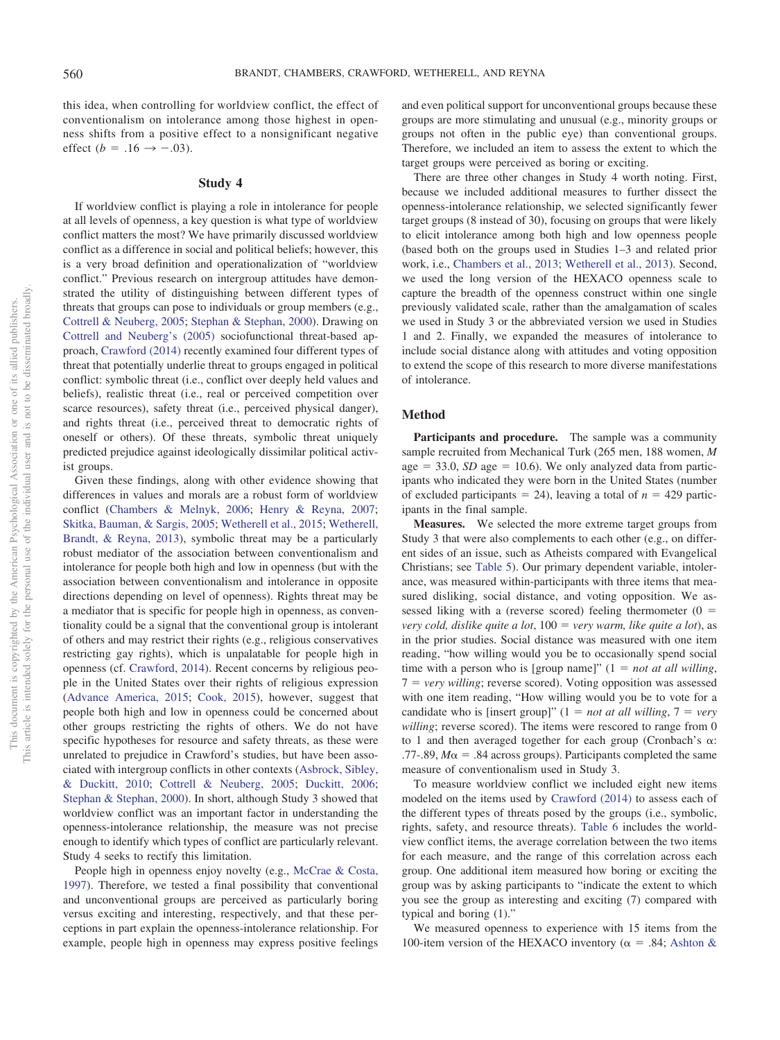this idea, when controlling for worldview conflict, the effect of conventionalism on intolerance among those highest in openness shifts from a positive effect to a nonsignificant negative effect (*b* = .16  $\rightarrow$  -.03).

## **Study 4**

If worldview conflict is playing a role in intolerance for people at all levels of openness, a key question is what type of worldview conflict matters the most? We have primarily discussed worldview conflict as a difference in social and political beliefs; however, this is a very broad definition and operationalization of "worldview conflict." Previous research on intergroup attitudes have demonstrated the utility of distinguishing between different types of threats that groups can pose to individuals or group members (e.g., [Cottrell & Neuberg, 2005;](#page-17-19) [Stephan & Stephan, 2000\)](#page-19-12). Drawing on [Cottrell and Neuberg's \(2005\)](#page-17-19) sociofunctional threat-based approach, [Crawford \(2014\)](#page-17-10) recently examined four different types of threat that potentially underlie threat to groups engaged in political conflict: symbolic threat (i.e., conflict over deeply held values and beliefs), realistic threat (i.e., real or perceived competition over scarce resources), safety threat (i.e., perceived physical danger), and rights threat (i.e., perceived threat to democratic rights of oneself or others). Of these threats, symbolic threat uniquely predicted prejudice against ideologically dissimilar political activist groups.

Given these findings, along with other evidence showing that differences in values and morals are a robust form of worldview conflict [\(Chambers & Melnyk, 2006;](#page-17-8) [Henry & Reyna, 2007;](#page-18-19) [Skitka, Bauman, & Sargis, 2005;](#page-19-6) [Wetherell et al., 2015;](#page-19-9) [Wetherell,](#page-19-10) [Brandt, & Reyna, 2013\)](#page-19-10), symbolic threat may be a particularly robust mediator of the association between conventionalism and intolerance for people both high and low in openness (but with the association between conventionalism and intolerance in opposite directions depending on level of openness). Rights threat may be a mediator that is specific for people high in openness, as conventionality could be a signal that the conventional group is intolerant of others and may restrict their rights (e.g., religious conservatives restricting gay rights), which is unpalatable for people high in openness (cf. [Crawford, 2014\)](#page-17-10). Recent concerns by religious people in the United States over their rights of religious expression [\(Advance America, 2015;](#page-17-20) [Cook, 2015\)](#page-17-21), however, suggest that people both high and low in openness could be concerned about other groups restricting the rights of others. We do not have specific hypotheses for resource and safety threats, as these were unrelated to prejudice in Crawford's studies, but have been associated with intergroup conflicts in other contexts [\(Asbrock, Sibley,](#page-17-12) [& Duckitt, 2010;](#page-17-12) [Cottrell & Neuberg, 2005;](#page-17-19) [Duckitt, 2006;](#page-18-26) [Stephan & Stephan, 2000\)](#page-19-12). In short, although Study 3 showed that worldview conflict was an important factor in understanding the openness-intolerance relationship, the measure was not precise enough to identify which types of conflict are particularly relevant. Study 4 seeks to rectify this limitation.

People high in openness enjoy novelty (e.g., [McCrae & Costa,](#page-18-2) [1997\)](#page-18-2). Therefore, we tested a final possibility that conventional and unconventional groups are perceived as particularly boring versus exciting and interesting, respectively, and that these perceptions in part explain the openness-intolerance relationship. For example, people high in openness may express positive feelings

and even political support for unconventional groups because these groups are more stimulating and unusual (e.g., minority groups or groups not often in the public eye) than conventional groups. Therefore, we included an item to assess the extent to which the target groups were perceived as boring or exciting.

There are three other changes in Study 4 worth noting. First, because we included additional measures to further dissect the openness-intolerance relationship, we selected significantly fewer target groups (8 instead of 30), focusing on groups that were likely to elicit intolerance among both high and low openness people (based both on the groups used in Studies 1–3 and related prior work, i.e., [Chambers et al., 2013;](#page-17-9) [Wetherell et al., 2013\)](#page-19-10). Second, we used the long version of the HEXACO openness scale to capture the breadth of the openness construct within one single previously validated scale, rather than the amalgamation of scales we used in Study 3 or the abbreviated version we used in Studies 1 and 2. Finally, we expanded the measures of intolerance to include social distance along with attitudes and voting opposition to extend the scope of this research to more diverse manifestations of intolerance.

#### **Method**

**Participants and procedure.** The sample was a community sample recruited from Mechanical Turk (265 men, 188 women, *M* age  $=$  33.0, *SD* age  $=$  10.6). We only analyzed data from participants who indicated they were born in the United States (number of excluded participants  $= 24$ ), leaving a total of  $n = 429$  participants in the final sample.

**Measures.** We selected the more extreme target groups from Study 3 that were also complements to each other (e.g., on different sides of an issue, such as Atheists compared with Evangelical Christians; see [Table 5\)](#page-12-0). Our primary dependent variable, intolerance, was measured within-participants with three items that measured disliking, social distance, and voting opposition. We assessed liking with a (reverse scored) feeling thermometer  $(0 =$ *very cold, dislike quite a lot,*  $100 =$  *very warm, like quite a lot*), as in the prior studies. Social distance was measured with one item reading, "how willing would you be to occasionally spend social time with a person who is [group name]"  $(1 = not at all willing,$ 7 = *very willing*; reverse scored). Voting opposition was assessed with one item reading, "How willing would you be to vote for a candidate who is [insert group]"  $(1 = not at all willing, 7 = very$ *willing*; reverse scored). The items were rescored to range from 0 to 1 and then averaged together for each group (Cronbach's  $\alpha$ : .77-.89,  $M\alpha = .84$  across groups). Participants completed the same measure of conventionalism used in Study 3.

To measure worldview conflict we included eight new items modeled on the items used by [Crawford \(2014\)](#page-17-10) to assess each of the different types of threats posed by the groups (i.e., symbolic, rights, safety, and resource threats). [Table 6](#page-12-1) includes the worldview conflict items, the average correlation between the two items for each measure, and the range of this correlation across each group. One additional item measured how boring or exciting the group was by asking participants to "indicate the extent to which you see the group as interesting and exciting (7) compared with typical and boring (1)."

We measured openness to experience with 15 items from the 100-item version of the HEXACO inventory ( $\alpha = .84$ ; [Ashton &](#page-17-17)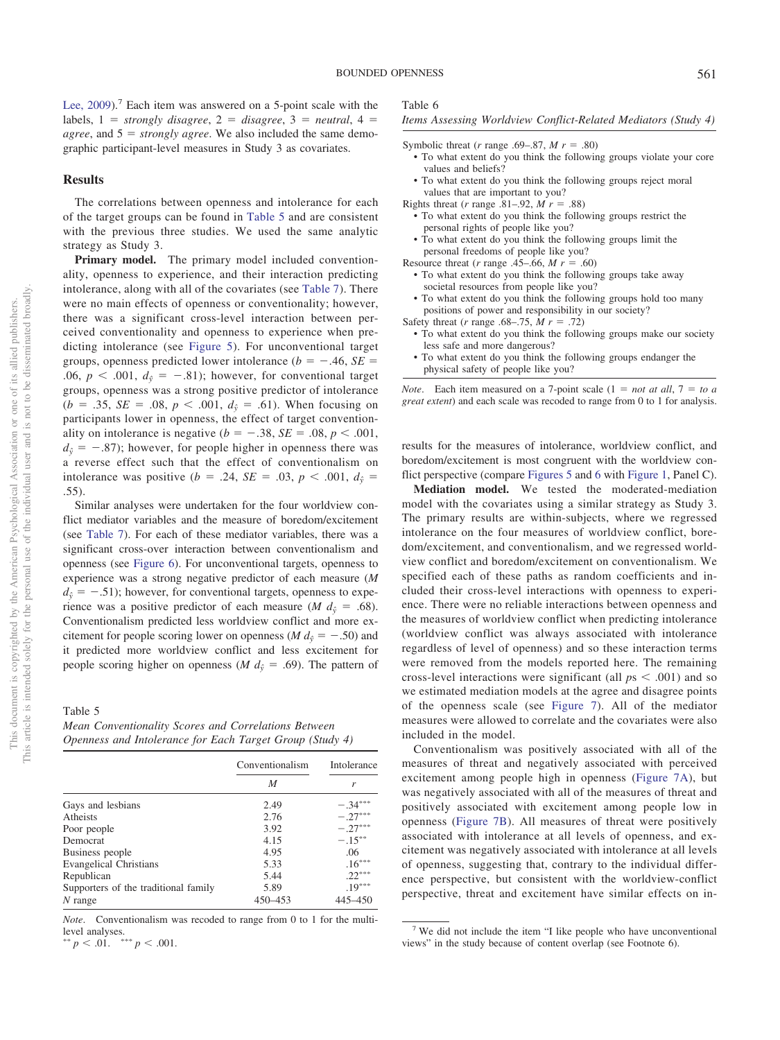[Lee, 2009\)](#page-17-17).<sup>7</sup> Each item was answered on a 5-point scale with the labels,  $1 =$  *strongly disagree*,  $2 =$  *disagree*,  $3 =$  *neutral*,  $4 =$  $agree$ , and  $5 = strongly$  *agree*. We also included the same demographic participant-level measures in Study 3 as covariates.

# **Results**

The correlations between openness and intolerance for each of the target groups can be found in [Table 5](#page-12-0) and are consistent with the previous three studies. We used the same analytic strategy as Study 3.

**Primary model.** The primary model included conventionality, openness to experience, and their interaction predicting intolerance, along with all of the covariates (see [Table 7\)](#page-13-0). There were no main effects of openness or conventionality; however, there was a significant cross-level interaction between perceived conventionality and openness to experience when predicting intolerance (see [Figure 5\)](#page-14-0). For unconventional target groups, openness predicted lower intolerance ( $b = -.46$ ,  $SE =$ .06,  $p < .001$ ,  $d<sub>\hat{y}</sub> = -.81$ ; however, for conventional target groups, openness was a strong positive predictor of intolerance  $(b = .35, SE = .08, p < .001, d<sub>j</sub> = .61)$ . When focusing on participants lower in openness, the effect of target conventionality on intolerance is negative ( $b = -.38$ ,  $SE = .08$ ,  $p < .001$ ,  $d_{\hat{y}} = -.87$ ; however, for people higher in openness there was a reverse effect such that the effect of conventionalism on intolerance was positive ( $b = .24$ ,  $SE = .03$ ,  $p < .001$ ,  $d<sub>\hat{y}</sub> =$ .55).

Similar analyses were undertaken for the four worldview conflict mediator variables and the measure of boredom/excitement (see [Table 7\)](#page-13-0). For each of these mediator variables, there was a significant cross-over interaction between conventionalism and openness (see [Figure 6\)](#page-14-1). For unconventional targets, openness to experience was a strong negative predictor of each measure (*M*  $d_{\hat{y}} = -.51$ ; however, for conventional targets, openness to experience was a positive predictor of each measure  $(M d<sub>\hat{y}</sub> = .68)$ . Conventionalism predicted less worldview conflict and more excitement for people scoring lower on openness ( $M d<sub>\hat{y}</sub>$  = -.50) and it predicted more worldview conflict and less excitement for people scoring higher on openness ( $M d<sub>\hat{y}</sub>$  = .69). The pattern of

#### <span id="page-12-0"></span>Table 5

*Mean Conventionality Scores and Correlations Between Openness and Intolerance for Each Target Group (Study 4)*

|                                      | Conventionalism | Intolerance |  |
|--------------------------------------|-----------------|-------------|--|
|                                      | M               | r           |  |
| Gays and lesbians                    | 2.49            | $-.34***$   |  |
| Atheists                             | 2.76            | $-.27***$   |  |
| Poor people                          | 3.92            | $-.27***$   |  |
| Democrat                             | 4.15            | $-.15***$   |  |
| Business people                      | 4.95            | .06         |  |
| <b>Evangelical Christians</b>        | 5.33            | $.16***$    |  |
| Republican                           | 5.44            | $.22***$    |  |
| Supporters of the traditional family | 5.89            | $.19***$    |  |
| $N$ range                            | 450–453         | 445–450     |  |

*Note*. Conventionalism was recoded to range from 0 to 1 for the multilevel analyses.<br>\*\*  $p < .01$ . \*\*\*  $p < .001$ .

# <span id="page-12-1"></span>Table 6

## *Items Assessing Worldview Conflict-Related Mediators (Study 4)*

Symbolic threat ( $r$  range .69–.87,  $Mr = .80$ )

- To what extent do you think the following groups violate your core values and beliefs?
- To what extent do you think the following groups reject moral values that are important to you?
- Rights threat (*r* range .81–.92, *M*  $r = .88$ )
- To what extent do you think the following groups restrict the personal rights of people like you?
- To what extent do you think the following groups limit the personal freedoms of people like you?
- Resource threat ( $r$  range .45–.66,  $M r = .60$ )
	- To what extent do you think the following groups take away societal resources from people like you?
- To what extent do you think the following groups hold too many positions of power and responsibility in our society?
- Safety threat (*r* range .68–.75,  $M r = .72$ )
- To what extent do you think the following groups make our society less safe and more dangerous?
- To what extent do you think the following groups endanger the physical safety of people like you?

*Note*. Each item measured on a 7-point scale  $(1 = not at all, 7 = to a)$ *great extent*) and each scale was recoded to range from 0 to 1 for analysis.

results for the measures of intolerance, worldview conflict, and boredom/excitement is most congruent with the worldview conflict perspective (compare [Figures 5](#page-14-0) and [6](#page-14-1) with [Figure 1,](#page-2-0) Panel C).

**Mediation model.** We tested the moderated-mediation model with the covariates using a similar strategy as Study 3. The primary results are within-subjects, where we regressed intolerance on the four measures of worldview conflict, boredom/excitement, and conventionalism, and we regressed worldview conflict and boredom/excitement on conventionalism. We specified each of these paths as random coefficients and included their cross-level interactions with openness to experience. There were no reliable interactions between openness and the measures of worldview conflict when predicting intolerance (worldview conflict was always associated with intolerance regardless of level of openness) and so these interaction terms were removed from the models reported here. The remaining cross-level interactions were significant (all  $ps < .001$ ) and so we estimated mediation models at the agree and disagree points of the openness scale (see [Figure 7\)](#page-15-0). All of the mediator measures were allowed to correlate and the covariates were also included in the model.

Conventionalism was positively associated with all of the measures of threat and negatively associated with perceived excitement among people high in openness [\(Figure 7A\)](#page-15-0), but was negatively associated with all of the measures of threat and positively associated with excitement among people low in openness [\(Figure 7B\)](#page-15-0). All measures of threat were positively associated with intolerance at all levels of openness, and excitement was negatively associated with intolerance at all levels of openness, suggesting that, contrary to the individual difference perspective, but consistent with the worldview-conflict perspective, threat and excitement have similar effects on in-

<sup>7</sup> We did not include the item "I like people who have unconventional views" in the study because of content overlap (see Footnote 6).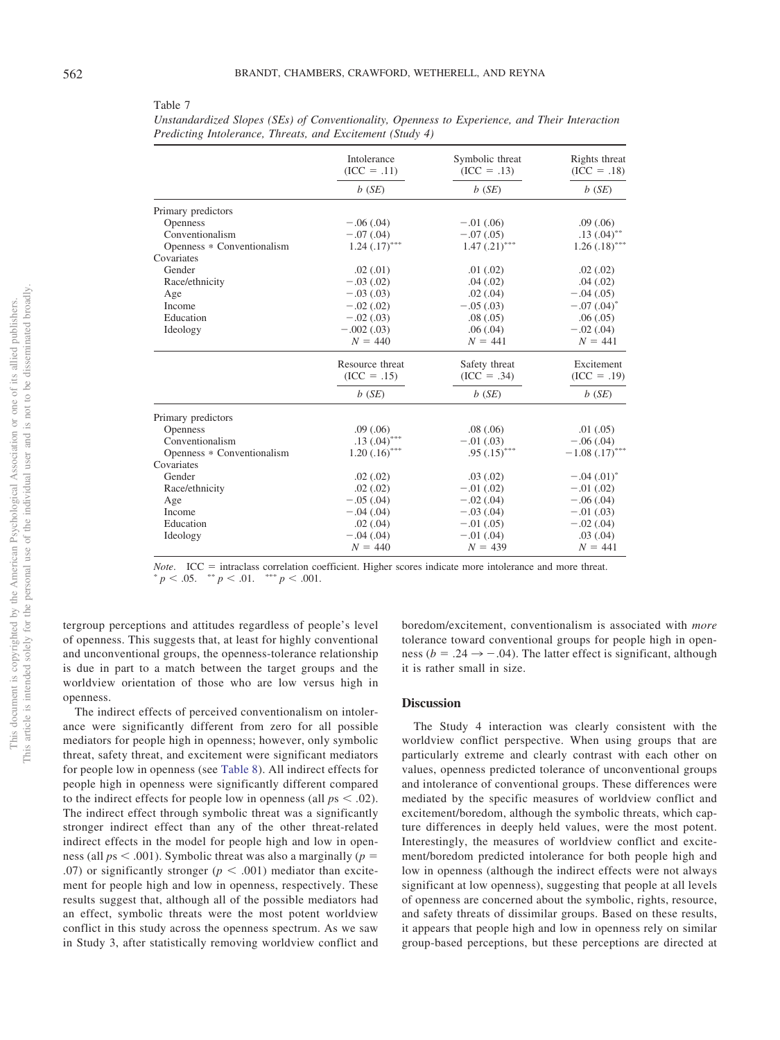<span id="page-13-0"></span>

| ×<br>۰, |  |
|---------|--|
|         |  |

|                            | Intolerance<br>$(ICC = .11)$     | Symbolic threat<br>$(ICC = .13)$ | Rights threat<br>$(ICC = .18)$ |
|----------------------------|----------------------------------|----------------------------------|--------------------------------|
|                            | b(SE)                            | $b$ (SE)                         | b(SE)                          |
| Primary predictors         |                                  |                                  |                                |
| Openness                   | $-.06(.04)$                      | $-.01(.06)$                      | .09(.06)                       |
| Conventionalism            | $-.07(.04)$                      | $-.07(.05)$                      | .13 $(.04)^{**}$               |
| Openness * Conventionalism | $1.24$ $(.17)$ ***               | $1.47$ $(.21)$ ***               | $1.26(.18)$ ***                |
| Covariates                 |                                  |                                  |                                |
| Gender                     | .02(.01)                         | .01(.02)                         | .02(.02)                       |
| Race/ethnicity             | $-.03(.02)$                      | .04(.02)                         | .04(.02)                       |
| Age                        | $-.03(.03)$                      | .02(.04)                         | $-.04(.05)$                    |
| Income                     | $-.02(.02)$                      | $-.05(.03)$                      | $-.07(.04)^*$                  |
| Education                  | $-.02(.03)$                      | .08(.05)                         | .06(.05)                       |
| Ideology                   | $-.002(.03)$                     | .06(.04)                         | $-.02(.04)$                    |
|                            | $N = 440$                        | $N = 441$                        | $N = 441$                      |
|                            | Resource threat<br>$(ICC = .15)$ | Safety threat<br>$(ICC = .34)$   | Excitement<br>$(ICC = .19)$    |
|                            | $b$ (SE)                         | $b$ (SE)                         | $b$ (SE)                       |
| Primary predictors         |                                  |                                  |                                |
| Openness                   | .09(.06)                         | .08(.06)                         | .01(.05)                       |
| Conventionalism            | $.13(.04)$ ***                   | $-.01(.03)$                      | $-.06(.04)$                    |
| Openness * Conventionalism | $1.20(.16)$ ***                  | .95 $(.15)$ ***                  | $-1.08$ $(.17)$ ***            |
| Covariates                 |                                  |                                  |                                |
| Gender                     | .02(.02)                         | .03(0.02)                        | $-.04(.01)^*$                  |
| Race/ethnicity             | .02(.02)                         | $-.01(.02)$                      | $-.01(.02)$                    |
| Age                        | $-.05(.04)$                      | $-.02(.04)$                      | $-.06(.04)$                    |
| Income                     | $-.04(.04)$                      | $-.03(.04)$                      | $-.01(.03)$                    |
| Education                  | .02(.04)                         | $-.01(.05)$                      | $-.02(.04)$                    |
| Ideology                   | $-.04(.04)$                      | $-.01(.04)$                      | .03(0.04)                      |
|                            | $N = 440$                        | $N = 439$                        | $N = 441$                      |

*Unstandardized Slopes (SEs) of Conventionality, Openness to Experience, and Their Interaction Predicting Intolerance, Threats, and Excitement (Study 4)*

*Note.* ICC = intraclass correlation coefficient. Higher scores indicate more intolerance and more threat.  $p < .05.$  \*\*  $p < .01.$  \*\*\*  $p < .001.$ 

tergroup perceptions and attitudes regardless of people's level of openness. This suggests that, at least for highly conventional and unconventional groups, the openness-tolerance relationship is due in part to a match between the target groups and the worldview orientation of those who are low versus high in openness.

The indirect effects of perceived conventionalism on intolerance were significantly different from zero for all possible mediators for people high in openness; however, only symbolic threat, safety threat, and excitement were significant mediators for people low in openness (see [Table 8\)](#page-15-1). All indirect effects for people high in openness were significantly different compared to the indirect effects for people low in openness (all  $ps < .02$ ). The indirect effect through symbolic threat was a significantly stronger indirect effect than any of the other threat-related indirect effects in the model for people high and low in openness (all  $ps < .001$ ). Symbolic threat was also a marginally ( $p =$ .07) or significantly stronger ( $p < .001$ ) mediator than excitement for people high and low in openness, respectively. These results suggest that, although all of the possible mediators had an effect, symbolic threats were the most potent worldview conflict in this study across the openness spectrum. As we saw in Study 3, after statistically removing worldview conflict and boredom/excitement, conventionalism is associated with *more* tolerance toward conventional groups for people high in openness ( $b = .24 \rightarrow -.04$ ). The latter effect is significant, although it is rather small in size.

# **Discussion**

The Study 4 interaction was clearly consistent with the worldview conflict perspective. When using groups that are particularly extreme and clearly contrast with each other on values, openness predicted tolerance of unconventional groups and intolerance of conventional groups. These differences were mediated by the specific measures of worldview conflict and excitement/boredom, although the symbolic threats, which capture differences in deeply held values, were the most potent. Interestingly, the measures of worldview conflict and excitement/boredom predicted intolerance for both people high and low in openness (although the indirect effects were not always significant at low openness), suggesting that people at all levels of openness are concerned about the symbolic, rights, resource, and safety threats of dissimilar groups. Based on these results, it appears that people high and low in openness rely on similar group-based perceptions, but these perceptions are directed at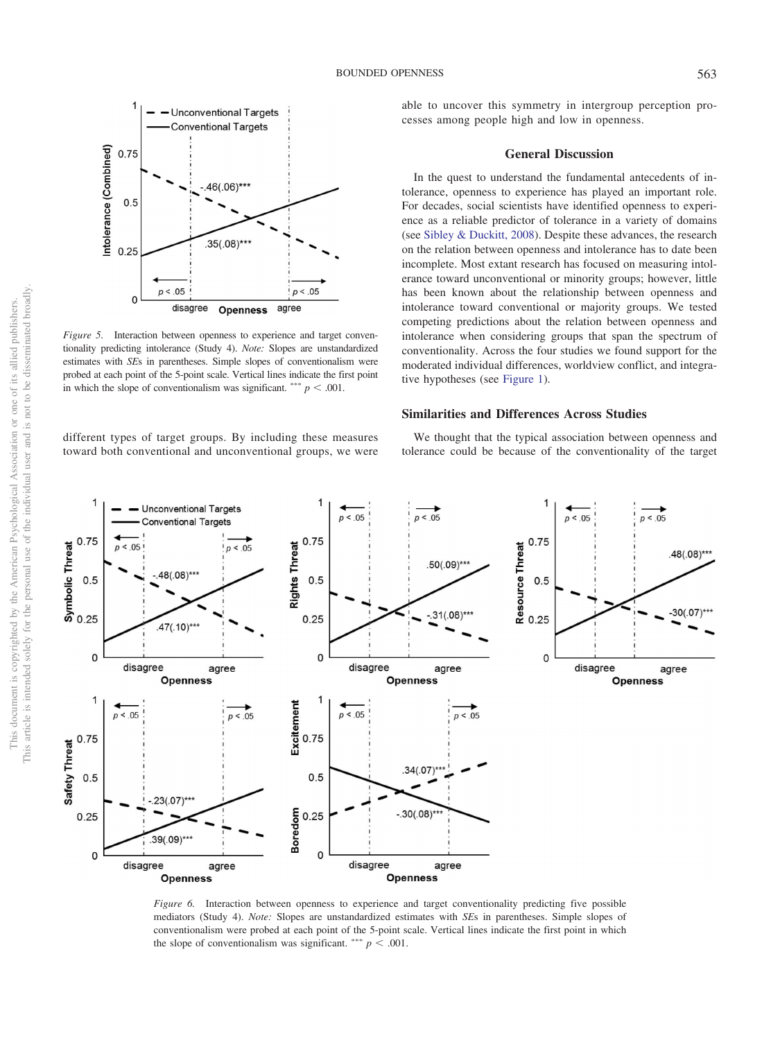

<span id="page-14-0"></span>*Figure 5.* Interaction between openness to experience and target conventionality predicting intolerance (Study 4). *Note:* Slopes are unstandardized estimates with *SE*s in parentheses. Simple slopes of conventionalism were probed at each point of the 5-point scale. Vertical lines indicate the first point in which the slope of conventionalism was significant.  $*** p < .001$ .

different types of target groups. By including these measures toward both conventional and unconventional groups, we were

able to uncover this symmetry in intergroup perception processes among people high and low in openness.

# **General Discussion**

In the quest to understand the fundamental antecedents of intolerance, openness to experience has played an important role. For decades, social scientists have identified openness to experience as a reliable predictor of tolerance in a variety of domains (see [Sibley & Duckitt, 2008\)](#page-18-6). Despite these advances, the research on the relation between openness and intolerance has to date been incomplete. Most extant research has focused on measuring intolerance toward unconventional or minority groups; however, little has been known about the relationship between openness and intolerance toward conventional or majority groups. We tested competing predictions about the relation between openness and intolerance when considering groups that span the spectrum of conventionality. Across the four studies we found support for the moderated individual differences, worldview conflict, and integrative hypotheses (see [Figure 1\)](#page-2-0).

# **Similarities and Differences Across Studies**

We thought that the typical association between openness and tolerance could be because of the conventionality of the target



<span id="page-14-1"></span>*Figure 6.* Interaction between openness to experience and target conventionality predicting five possible mediators (Study 4). *Note:* Slopes are unstandardized estimates with *SE*s in parentheses. Simple slopes of conventionalism were probed at each point of the 5-point scale. Vertical lines indicate the first point in which the slope of conventionalism was significant.  $*** p < .001$ .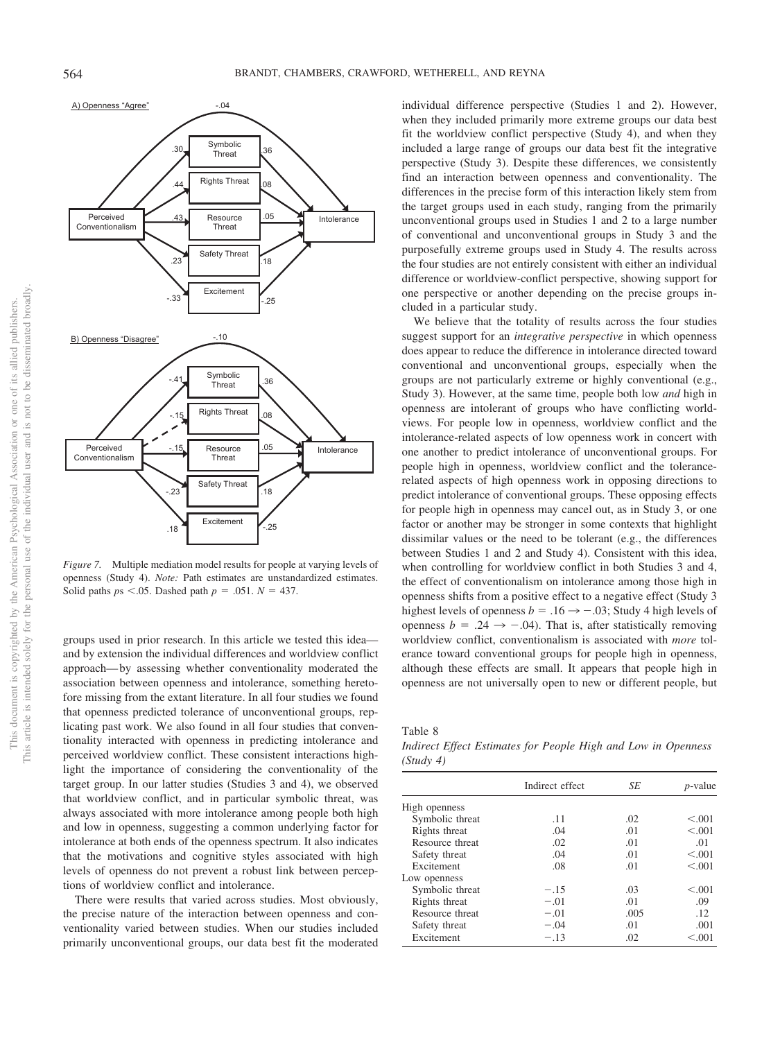

<span id="page-15-0"></span>*Figure 7.* Multiple mediation model results for people at varying levels of openness (Study 4). *Note:* Path estimates are unstandardized estimates. Solid paths  $ps < .05$ . Dashed path  $p = .051$ .  $N = 437$ .

groups used in prior research. In this article we tested this idea and by extension the individual differences and worldview conflict approach— by assessing whether conventionality moderated the association between openness and intolerance, something heretofore missing from the extant literature. In all four studies we found that openness predicted tolerance of unconventional groups, replicating past work. We also found in all four studies that conventionality interacted with openness in predicting intolerance and perceived worldview conflict. These consistent interactions highlight the importance of considering the conventionality of the target group. In our latter studies (Studies 3 and 4), we observed that worldview conflict, and in particular symbolic threat, was always associated with more intolerance among people both high and low in openness, suggesting a common underlying factor for intolerance at both ends of the openness spectrum. It also indicates that the motivations and cognitive styles associated with high levels of openness do not prevent a robust link between perceptions of worldview conflict and intolerance.

There were results that varied across studies. Most obviously, the precise nature of the interaction between openness and conventionality varied between studies. When our studies included primarily unconventional groups, our data best fit the moderated

individual difference perspective (Studies 1 and 2). However, when they included primarily more extreme groups our data best fit the worldview conflict perspective (Study 4), and when they included a large range of groups our data best fit the integrative perspective (Study 3). Despite these differences, we consistently find an interaction between openness and conventionality. The differences in the precise form of this interaction likely stem from the target groups used in each study, ranging from the primarily unconventional groups used in Studies 1 and 2 to a large number of conventional and unconventional groups in Study 3 and the purposefully extreme groups used in Study 4. The results across the four studies are not entirely consistent with either an individual difference or worldview-conflict perspective, showing support for one perspective or another depending on the precise groups included in a particular study.

We believe that the totality of results across the four studies suggest support for an *integrative perspective* in which openness does appear to reduce the difference in intolerance directed toward conventional and unconventional groups, especially when the groups are not particularly extreme or highly conventional (e.g., Study 3). However, at the same time, people both low *and* high in openness are intolerant of groups who have conflicting worldviews. For people low in openness, worldview conflict and the intolerance-related aspects of low openness work in concert with one another to predict intolerance of unconventional groups. For people high in openness, worldview conflict and the tolerancerelated aspects of high openness work in opposing directions to predict intolerance of conventional groups. These opposing effects for people high in openness may cancel out, as in Study 3, or one factor or another may be stronger in some contexts that highlight dissimilar values or the need to be tolerant (e.g., the differences between Studies 1 and 2 and Study 4). Consistent with this idea, when controlling for worldview conflict in both Studies 3 and 4, the effect of conventionalism on intolerance among those high in openness shifts from a positive effect to a negative effect (Study 3 highest levels of openness  $b = .16 \rightarrow -.03$ ; Study 4 high levels of openness  $b = .24 \rightarrow -.04$ ). That is, after statistically removing worldview conflict, conventionalism is associated with *more* tolerance toward conventional groups for people high in openness, although these effects are small. It appears that people high in openness are not universally open to new or different people, but

<span id="page-15-1"></span>Table 8

*Indirect Effect Estimates for People High and Low in Openness (Study 4)*

|                 | Indirect effect | SE   | $p$ -value |
|-----------------|-----------------|------|------------|
| High openness   |                 |      |            |
| Symbolic threat | .11             | .02  | < 0.01     |
| Rights threat   | .04             | .01  | < 0.001    |
| Resource threat | .02             | .01  | .01        |
| Safety threat   | .04             | .01  | < 0.001    |
| Excitement      | .08             | .01  | < 0.001    |
| Low openness    |                 |      |            |
| Symbolic threat | $-.15$          | .03  | < 0.001    |
| Rights threat   | $-.01$          | .01  | .09        |
| Resource threat | $-.01$          | .005 | .12        |
| Safety threat   | $-.04$          | .01  | .001       |
| Excitement      | $-.13$          | .02  | < 0.01     |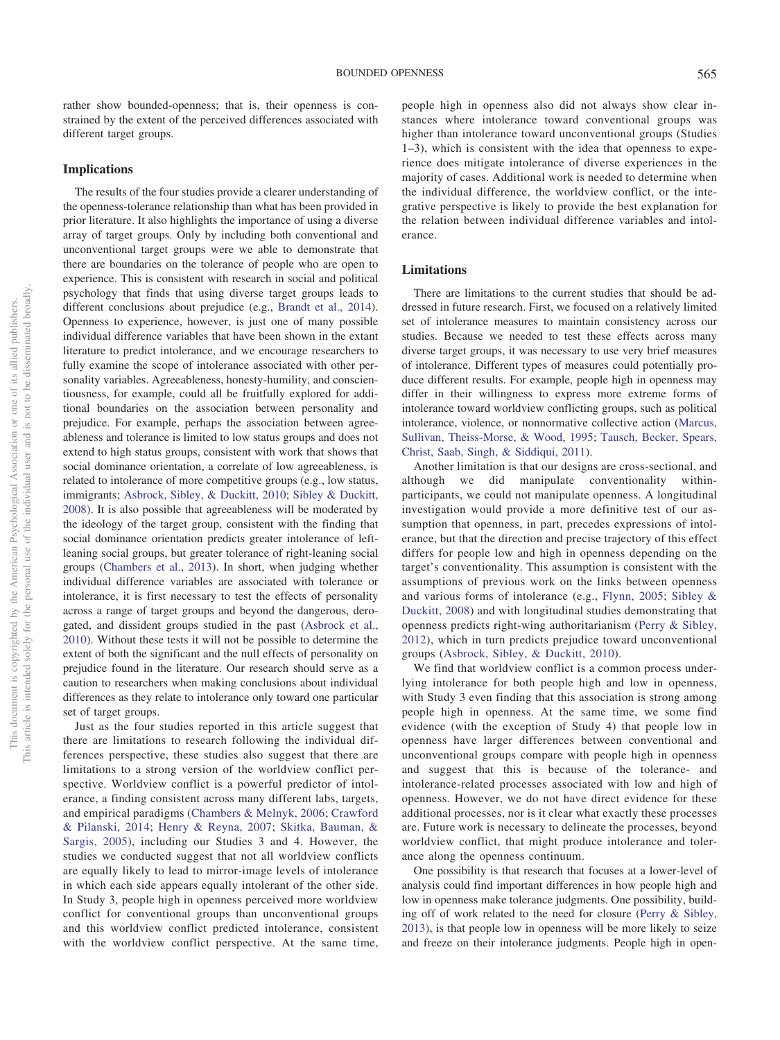rather show bounded-openness; that is, their openness is constrained by the extent of the perceived differences associated with different target groups.

## **Implications**

The results of the four studies provide a clearer understanding of the openness-tolerance relationship than what has been provided in prior literature. It also highlights the importance of using a diverse array of target groups. Only by including both conventional and unconventional target groups were we able to demonstrate that there are boundaries on the tolerance of people who are open to experience. This is consistent with research in social and political psychology that finds that using diverse target groups leads to different conclusions about prejudice (e.g., [Brandt et al., 2014\)](#page-17-4). Openness to experience, however, is just one of many possible individual difference variables that have been shown in the extant literature to predict intolerance, and we encourage researchers to fully examine the scope of intolerance associated with other personality variables. Agreeableness, honesty-humility, and conscientiousness, for example, could all be fruitfully explored for additional boundaries on the association between personality and prejudice. For example, perhaps the association between agreeableness and tolerance is limited to low status groups and does not extend to high status groups, consistent with work that shows that social dominance orientation, a correlate of low agreeableness, is related to intolerance of more competitive groups (e.g., low status, immigrants; [Asbrock, Sibley, & Duckitt, 2010;](#page-17-12) [Sibley & Duckitt,](#page-18-6) [2008\)](#page-18-6). It is also possible that agreeableness will be moderated by the ideology of the target group, consistent with the finding that social dominance orientation predicts greater intolerance of leftleaning social groups, but greater tolerance of right-leaning social groups [\(Chambers et al., 2013\)](#page-17-9). In short, when judging whether individual difference variables are associated with tolerance or intolerance, it is first necessary to test the effects of personality across a range of target groups and beyond the dangerous, derogated, and dissident groups studied in the past [\(Asbrock et al.,](#page-17-12) [2010\)](#page-17-12). Without these tests it will not be possible to determine the extent of both the significant and the null effects of personality on prejudice found in the literature. Our research should serve as a caution to researchers when making conclusions about individual differences as they relate to intolerance only toward one particular set of target groups.

Just as the four studies reported in this article suggest that there are limitations to research following the individual differences perspective, these studies also suggest that there are limitations to a strong version of the worldview conflict perspective. Worldview conflict is a powerful predictor of intolerance, a finding consistent across many different labs, targets, and empirical paradigms [\(Chambers & Melnyk, 2006;](#page-17-8) [Crawford](#page-17-13) [& Pilanski, 2014;](#page-17-13) [Henry & Reyna, 2007;](#page-18-19) [Skitka, Bauman, &](#page-19-6) [Sargis, 2005\)](#page-19-6), including our Studies 3 and 4. However, the studies we conducted suggest that not all worldview conflicts are equally likely to lead to mirror-image levels of intolerance in which each side appears equally intolerant of the other side. In Study 3, people high in openness perceived more worldview conflict for conventional groups than unconventional groups and this worldview conflict predicted intolerance, consistent with the worldview conflict perspective. At the same time,

people high in openness also did not always show clear instances where intolerance toward conventional groups was higher than intolerance toward unconventional groups (Studies 1–3), which is consistent with the idea that openness to experience does mitigate intolerance of diverse experiences in the majority of cases. Additional work is needed to determine when the individual difference, the worldview conflict, or the integrative perspective is likely to provide the best explanation for the relation between individual difference variables and intolerance.

# **Limitations**

There are limitations to the current studies that should be addressed in future research. First, we focused on a relatively limited set of intolerance measures to maintain consistency across our studies. Because we needed to test these effects across many diverse target groups, it was necessary to use very brief measures of intolerance. Different types of measures could potentially produce different results. For example, people high in openness may differ in their willingness to express more extreme forms of intolerance toward worldview conflicting groups, such as political intolerance, violence, or nonnormative collective action [\(Marcus,](#page-18-35) [Sullivan, Theiss-Morse, & Wood, 1995;](#page-18-35) [Tausch, Becker, Spears,](#page-19-13) [Christ, Saab, Singh, & Siddiqui, 2011\)](#page-19-13).

Another limitation is that our designs are cross-sectional, and although we did manipulate conventionality withinparticipants, we could not manipulate openness. A longitudinal investigation would provide a more definitive test of our assumption that openness, in part, precedes expressions of intolerance, but that the direction and precise trajectory of this effect differs for people low and high in openness depending on the target's conventionality. This assumption is consistent with the assumptions of previous work on the links between openness and various forms of intolerance (e.g., [Flynn, 2005;](#page-18-7) [Sibley &](#page-18-6) [Duckitt, 2008\)](#page-18-6) and with longitudinal studies demonstrating that openness predicts right-wing authoritarianism [\(Perry & Sibley,](#page-18-25) [2012\)](#page-18-25), which in turn predicts prejudice toward unconventional groups [\(Asbrock, Sibley, & Duckitt, 2010\)](#page-17-12).

We find that worldview conflict is a common process underlying intolerance for both people high and low in openness, with Study 3 even finding that this association is strong among people high in openness. At the same time, we some find evidence (with the exception of Study 4) that people low in openness have larger differences between conventional and unconventional groups compare with people high in openness and suggest that this is because of the tolerance- and intolerance-related processes associated with low and high of openness. However, we do not have direct evidence for these additional processes, nor is it clear what exactly these processes are. Future work is necessary to delineate the processes, beyond worldview conflict, that might produce intolerance and tolerance along the openness continuum.

One possibility is that research that focuses at a lower-level of analysis could find important differences in how people high and low in openness make tolerance judgments. One possibility, building off of work related to the need for closure [\(Perry & Sibley,](#page-18-14) [2013\)](#page-18-14), is that people low in openness will be more likely to seize and freeze on their intolerance judgments. People high in open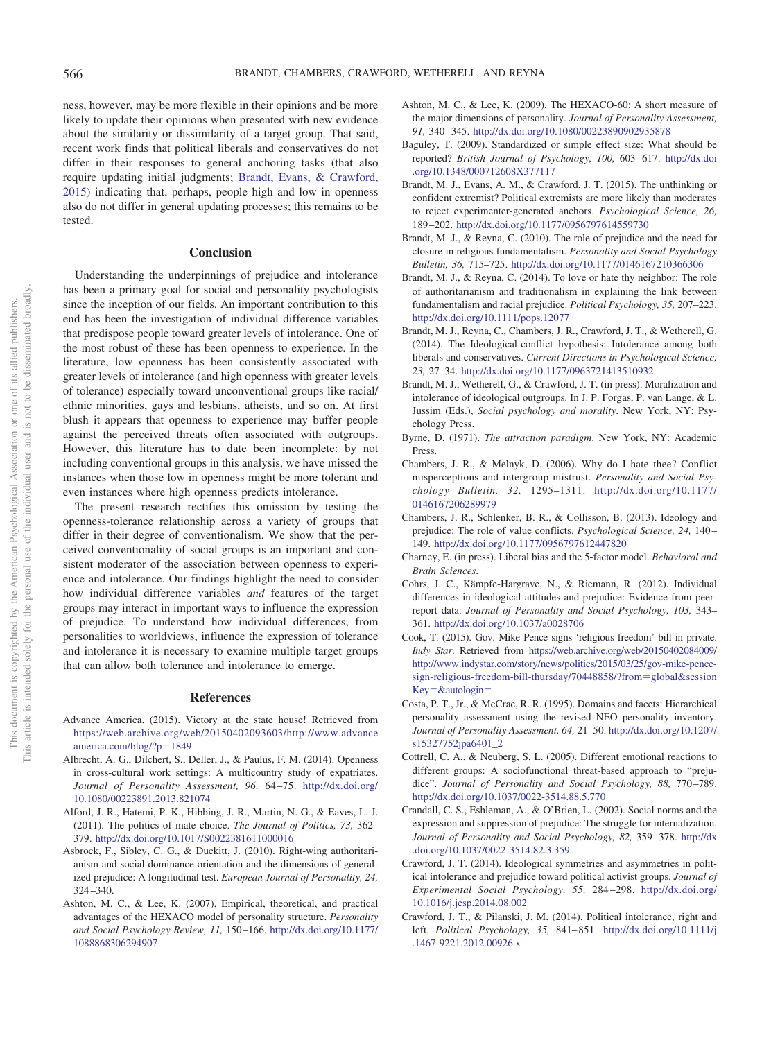ness, however, may be more flexible in their opinions and be more likely to update their opinions when presented with new evidence about the similarity or dissimilarity of a target group. That said, recent work finds that political liberals and conservatives do not differ in their responses to general anchoring tasks (that also require updating initial judgments; [Brandt, Evans, & Crawford,](#page-17-22) [2015\)](#page-17-22) indicating that, perhaps, people high and low in openness also do not differ in general updating processes; this remains to be tested.

## **Conclusion**

Understanding the underpinnings of prejudice and intolerance has been a primary goal for social and personality psychologists since the inception of our fields. An important contribution to this end has been the investigation of individual difference variables that predispose people toward greater levels of intolerance. One of the most robust of these has been openness to experience. In the literature, low openness has been consistently associated with greater levels of intolerance (and high openness with greater levels of tolerance) especially toward unconventional groups like racial/ ethnic minorities, gays and lesbians, atheists, and so on. At first blush it appears that openness to experience may buffer people against the perceived threats often associated with outgroups. However, this literature has to date been incomplete: by not including conventional groups in this analysis, we have missed the instances when those low in openness might be more tolerant and even instances where high openness predicts intolerance.

The present research rectifies this omission by testing the openness-tolerance relationship across a variety of groups that differ in their degree of conventionalism. We show that the perceived conventionality of social groups is an important and consistent moderator of the association between openness to experience and intolerance. Our findings highlight the need to consider how individual difference variables *and* features of the target groups may interact in important ways to influence the expression of prejudice. To understand how individual differences, from personalities to worldviews, influence the expression of tolerance and intolerance it is necessary to examine multiple target groups that can allow both tolerance and intolerance to emerge.

#### **References**

- <span id="page-17-20"></span>Advance America. (2015). Victory at the state house! Retrieved from [https://web.archive.org/web/20150402093603/http://www.advance](https://web.archive.org/web/20150402093603/http://www.advanceamerica.com/blog/?p=1849) [america.com/blog/?p](https://web.archive.org/web/20150402093603/http://www.advanceamerica.com/blog/?p=1849)-1849
- <span id="page-17-2"></span>Albrecht, A. G., Dilchert, S., Deller, J., & Paulus, F. M. (2014). Openness in cross-cultural work settings: A multicountry study of expatriates. *Journal of Personality Assessment, 96,* 64 –75. [http://dx.doi.org/](http://dx.doi.org/10.1080/00223891.2013.821074) [10.1080/00223891.2013.821074](http://dx.doi.org/10.1080/00223891.2013.821074)
- <span id="page-17-11"></span>Alford, J. R., Hatemi, P. K., Hibbing, J. R., Martin, N. G., & Eaves, L. J. (2011). The politics of mate choice. *The Journal of Politics, 73,* 362– 379. <http://dx.doi.org/10.1017/S0022381611000016>
- <span id="page-17-12"></span>Asbrock, F., Sibley, C. G., & Duckitt, J. (2010). Right-wing authoritarianism and social dominance orientation and the dimensions of generalized prejudice: A longitudinal test. *European Journal of Personality, 24,* 324 –340.
- <span id="page-17-16"></span>Ashton, M. C., & Lee, K. (2007). Empirical, theoretical, and practical advantages of the HEXACO model of personality structure. *Personality and Social Psychology Review, 11,* 150 –166. [http://dx.doi.org/10.1177/](http://dx.doi.org/10.1177/1088868306294907) [1088868306294907](http://dx.doi.org/10.1177/1088868306294907)
- <span id="page-17-17"></span>Ashton, M. C., & Lee, K. (2009). The HEXACO-60: A short measure of the major dimensions of personality. *Journal of Personality Assessment, 91,* 340 –345. <http://dx.doi.org/10.1080/00223890902935878>
- <span id="page-17-15"></span>Baguley, T. (2009). Standardized or simple effect size: What should be reported? *British Journal of Psychology, 100, 603-617*. [http://dx.doi](http://dx.doi.org/10.1348/000712608X377117) [.org/10.1348/000712608X377117](http://dx.doi.org/10.1348/000712608X377117)
- <span id="page-17-22"></span>Brandt, M. J., Evans, A. M., & Crawford, J. T. (2015). The unthinking or confident extremist? Political extremists are more likely than moderates to reject experimenter-generated anchors. *Psychological Science, 26,* 189 –202. <http://dx.doi.org/10.1177/0956797614559730>
- <span id="page-17-3"></span>Brandt, M. J., & Reyna, C. (2010). The role of prejudice and the need for closure in religious fundamentalism. *Personality and Social Psychology Bulletin, 36,* 715–725. <http://dx.doi.org/10.1177/0146167210366306>
- <span id="page-17-4"></span>Brandt, M. J., & Reyna, C. (2014). To love or hate thy neighbor: The role of authoritarianism and traditionalism in explaining the link between fundamentalism and racial prejudice. *Political Psychology, 35,* 207–223. <http://dx.doi.org/10.1111/pops.12077>
- <span id="page-17-7"></span>Brandt, M. J., Reyna, C., Chambers, J. R., Crawford, J. T., & Wetherell, G. (2014). The Ideological-conflict hypothesis: Intolerance among both liberals and conservatives. *Current Directions in Psychological Science, 23,* 27–34. <http://dx.doi.org/10.1177/0963721413510932>
- <span id="page-17-14"></span>Brandt, M. J., Wetherell, G., & Crawford, J. T. (in press). Moralization and intolerance of ideological outgroups. In J. P. Forgas, P. van Lange, & L. Jussim (Eds.), *Social psychology and morality*. New York, NY: Psychology Press.
- <span id="page-17-6"></span>Byrne, D. (1971). *The attraction paradigm*. New York, NY: Academic Press.
- <span id="page-17-8"></span>Chambers, J. R., & Melnyk, D. (2006). Why do I hate thee? Conflict misperceptions and intergroup mistrust. *Personality and Social Psychology Bulletin, 32,* 1295–1311. [http://dx.doi.org/10.1177/](http://dx.doi.org/10.1177/0146167206289979) [0146167206289979](http://dx.doi.org/10.1177/0146167206289979)
- <span id="page-17-9"></span>Chambers, J. R., Schlenker, B. R., & Collisson, B. (2013). Ideology and prejudice: The role of value conflicts. *Psychological Science, 24,* 140 – 149. <http://dx.doi.org/10.1177/0956797612447820>
- <span id="page-17-5"></span>Charney, E. (in press). Liberal bias and the 5-factor model. *Behavioral and Brain Sciences*.
- <span id="page-17-0"></span>Cohrs, J. C., Kämpfe-Hargrave, N., & Riemann, R. (2012). Individual differences in ideological attitudes and prejudice: Evidence from peerreport data. *Journal of Personality and Social Psychology, 103,* 343– 361. <http://dx.doi.org/10.1037/a0028706>
- <span id="page-17-21"></span>Cook, T. (2015). Gov. Mike Pence signs 'religious freedom' bill in private. *Indy Star*. Retrieved from [https://web.archive.org/web/20150402084009/](https://web.archive.org/web/20150402084009/http://www.indystar.com/story/news/politics/2015/03/25/gov-mike-pence-sign-religious-freedom-bill-thursday/70448858/?from=global&sessionKey=&autologin=) [http://www.indystar.com/story/news/politics/2015/03/25/gov-mike-pence](https://web.archive.org/web/20150402084009/http://www.indystar.com/story/news/politics/2015/03/25/gov-mike-pence-sign-religious-freedom-bill-thursday/70448858/?from=global&sessionKey=&autologin=)[sign-religious-freedom-bill-thursday/70448858/?from](https://web.archive.org/web/20150402084009/http://www.indystar.com/story/news/politics/2015/03/25/gov-mike-pence-sign-religious-freedom-bill-thursday/70448858/?from=global&sessionKey=&autologin=)-global&session Key=[&autologin](https://web.archive.org/web/20150402084009/http://www.indystar.com/story/news/politics/2015/03/25/gov-mike-pence-sign-religious-freedom-bill-thursday/70448858/?from=global&sessionKey=&autologin=)=
- <span id="page-17-18"></span>Costa, P. T., Jr., & McCrae, R. R. (1995). Domains and facets: Hierarchical personality assessment using the revised NEO personality inventory. *Journal of Personality Assessment, 64,* 21–50. [http://dx.doi.org/10.1207/](http://dx.doi.org/10.1207/s15327752jpa6401_2) [s15327752jpa6401\\_2](http://dx.doi.org/10.1207/s15327752jpa6401_2)
- <span id="page-17-19"></span>Cottrell, C. A., & Neuberg, S. L. (2005). Different emotional reactions to different groups: A sociofunctional threat-based approach to "prejudice". *Journal of Personality and Social Psychology, 88, 770–789.* <http://dx.doi.org/10.1037/0022-3514.88.5.770>
- <span id="page-17-1"></span>Crandall, C. S., Eshleman, A., & O'Brien, L. (2002). Social norms and the expression and suppression of prejudice: The struggle for internalization. *Journal of Personality and Social Psychology, 82,* 359 –378. [http://dx](http://dx.doi.org/10.1037/0022-3514.82.3.359) [.doi.org/10.1037/0022-3514.82.3.359](http://dx.doi.org/10.1037/0022-3514.82.3.359)
- <span id="page-17-10"></span>Crawford, J. T. (2014). Ideological symmetries and asymmetries in political intolerance and prejudice toward political activist groups. *Journal of Experimental Social Psychology, 55,* 284 –298. [http://dx.doi.org/](http://dx.doi.org/10.1016/j.jesp.2014.08.002) [10.1016/j.jesp.2014.08.002](http://dx.doi.org/10.1016/j.jesp.2014.08.002)
- <span id="page-17-13"></span>Crawford, J. T., & Pilanski, J. M. (2014). Political intolerance, right and left. *Political Psychology, 35,* 841– 851. [http://dx.doi.org/10.1111/j](http://dx.doi.org/10.1111/j.1467-9221.2012.00926.x) [.1467-9221.2012.00926.x](http://dx.doi.org/10.1111/j.1467-9221.2012.00926.x)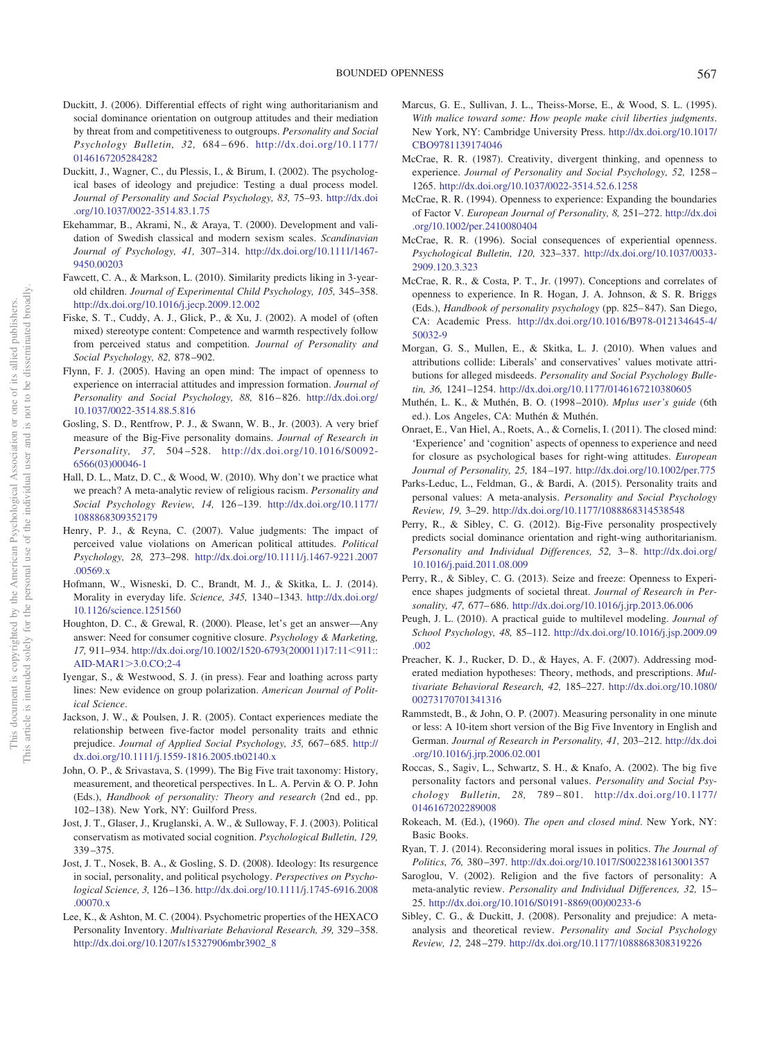- <span id="page-18-26"></span>Duckitt, J. (2006). Differential effects of right wing authoritarianism and social dominance orientation on outgroup attitudes and their mediation by threat from and competitiveness to outgroups. *Personality and Social Psychology Bulletin, 32,* 684 – 696. [http://dx.doi.org/10.1177/](http://dx.doi.org/10.1177/0146167205284282) [0146167205284282](http://dx.doi.org/10.1177/0146167205284282)
- <span id="page-18-12"></span>Duckitt, J., Wagner, C., du Plessis, I., & Birum, I. (2002). The psychological bases of ideology and prejudice: Testing a dual process model. *Journal of Personality and Social Psychology, 83,* 75–93. [http://dx.doi](http://dx.doi.org/10.1037/0022-3514.83.1.75) [.org/10.1037/0022-3514.83.1.75](http://dx.doi.org/10.1037/0022-3514.83.1.75)
- <span id="page-18-23"></span>Ekehammar, B., Akrami, N., & Araya, T. (2000). Development and validation of Swedish classical and modern sexism scales. *Scandinavian Journal of Psychology, 41,* 307–314. [http://dx.doi.org/10.1111/1467-](http://dx.doi.org/10.1111/1467-9450.00203) [9450.00203](http://dx.doi.org/10.1111/1467-9450.00203)
- <span id="page-18-22"></span>Fawcett, C. A., & Markson, L. (2010). Similarity predicts liking in 3-yearold children. *Journal of Experimental Child Psychology, 105,* 345–358. <http://dx.doi.org/10.1016/j.jecp.2009.12.002>
- <span id="page-18-27"></span>Fiske, S. T., Cuddy, A. J., Glick, P., & Xu, J. (2002). A model of (often mixed) stereotype content: Competence and warmth respectively follow from perceived status and competition. *Journal of Personality and Social Psychology, 82,* 878 –902.
- <span id="page-18-7"></span>Flynn, F. J. (2005). Having an open mind: The impact of openness to experience on interracial attitudes and impression formation. *Journal of Personality and Social Psychology, 88,* 816 – 826. [http://dx.doi.org/](http://dx.doi.org/10.1037/0022-3514.88.5.816) [10.1037/0022-3514.88.5.816](http://dx.doi.org/10.1037/0022-3514.88.5.816)
- <span id="page-18-16"></span>Gosling, S. D., Rentfrow, P. J., & Swann, W. B., Jr. (2003). A very brief measure of the Big-Five personality domains. *Journal of Research in Personality, 37,* 504 –528. [http://dx.doi.org/10.1016/S0092-](http://dx.doi.org/10.1016/S0092-6566%2803%2900046-1) [6566\(03\)00046-1](http://dx.doi.org/10.1016/S0092-6566%2803%2900046-1)
- <span id="page-18-10"></span>Hall, D. L., Matz, D. C., & Wood, W. (2010). Why don't we practice what we preach? A meta-analytic review of religious racism. *Personality and Social Psychology Review, 14,* 126 –139. [http://dx.doi.org/10.1177/](http://dx.doi.org/10.1177/1088868309352179) [1088868309352179](http://dx.doi.org/10.1177/1088868309352179)
- <span id="page-18-19"></span>Henry, P. J., & Reyna, C. (2007). Value judgments: The impact of perceived value violations on American political attitudes. *Political Psychology, 28,* 273–298. [http://dx.doi.org/10.1111/j.1467-9221.2007](http://dx.doi.org/10.1111/j.1467-9221.2007.00569.x) [.00569.x](http://dx.doi.org/10.1111/j.1467-9221.2007.00569.x)
- <span id="page-18-31"></span>Hofmann, W., Wisneski, D. C., Brandt, M. J., & Skitka, L. J. (2014). Morality in everyday life. *Science, 345,* 1340 –1343. [http://dx.doi.org/](http://dx.doi.org/10.1126/science.1251560) [10.1126/science.1251560](http://dx.doi.org/10.1126/science.1251560)
- <span id="page-18-33"></span>Houghton, D. C., & Grewal, R. (2000). Please, let's get an answer—Any answer: Need for consumer cognitive closure. *Psychology & Marketing, 17,* 911–934. [http://dx.doi.org/10.1002/1520-6793\(200011\)17:11](http://dx.doi.org/10.1002/1520-6793%28200011%2917:11%3C911::AID-MAR1%3E3.0.CO;2-4)911:: [AID-MAR1](http://dx.doi.org/10.1002/1520-6793%28200011%2917:11%3C911::AID-MAR1%3E3.0.CO;2-4) 3.0.CO;2-4
- <span id="page-18-24"></span>Iyengar, S., & Westwood, S. J. (in press). Fear and loathing across party lines: New evidence on group polarization. *American Journal of Political Science*.
- <span id="page-18-5"></span>Jackson, J. W., & Poulsen, J. R. (2005). Contact experiences mediate the relationship between five-factor model personality traits and ethnic prejudice. *Journal of Applied Social Psychology, 35,* 667– 685. [http://](http://dx.doi.org/10.1111/j.1559-1816.2005.tb02140.x) [dx.doi.org/10.1111/j.1559-1816.2005.tb02140.x](http://dx.doi.org/10.1111/j.1559-1816.2005.tb02140.x)
- <span id="page-18-18"></span>John, O. P., & Srivastava, S. (1999). The Big Five trait taxonomy: History, measurement, and theoretical perspectives. In L. A. Pervin & O. P. John (Eds.), *Handbook of personality: Theory and research* (2nd ed., pp. 102–138). New York, NY: Guilford Press.
- <span id="page-18-9"></span>Jost, J. T., Glaser, J., Kruglanski, A. W., & Sulloway, F. J. (2003). Political conservatism as motivated social cognition. *Psychological Bulletin, 129,* 339 –375.
- <span id="page-18-11"></span>Jost, J. T., Nosek, B. A., & Gosling, S. D. (2008). Ideology: Its resurgence in social, personality, and political psychology. *Perspectives on Psychological Science, 3,* 126 –136. [http://dx.doi.org/10.1111/j.1745-6916.2008](http://dx.doi.org/10.1111/j.1745-6916.2008.00070.x) [.00070.x](http://dx.doi.org/10.1111/j.1745-6916.2008.00070.x)
- <span id="page-18-17"></span>Lee, K., & Ashton, M. C. (2004). Psychometric properties of the HEXACO Personality Inventory. *Multivariate Behavioral Research, 39,* 329 –358. [http://dx.doi.org/10.1207/s15327906mbr3902\\_8](http://dx.doi.org/10.1207/s15327906mbr3902_8)
- <span id="page-18-35"></span>Marcus, G. E., Sullivan, J. L., Theiss-Morse, E., & Wood, S. L. (1995). *With malice toward some: How people make civil liberties judgments*. New York, NY: Cambridge University Press. [http://dx.doi.org/10.1017/](http://dx.doi.org/10.1017/CBO9781139174046) [CBO9781139174046](http://dx.doi.org/10.1017/CBO9781139174046)
- <span id="page-18-3"></span>McCrae, R. R. (1987). Creativity, divergent thinking, and openness to experience. *Journal of Personality and Social Psychology, 52,* 1258 – 1265. <http://dx.doi.org/10.1037/0022-3514.52.6.1258>
- <span id="page-18-0"></span>McCrae, R. R. (1994). Openness to experience: Expanding the boundaries of Factor V. *European Journal of Personality, 8,* 251–272. [http://dx.doi](http://dx.doi.org/10.1002/per.2410080404) [.org/10.1002/per.2410080404](http://dx.doi.org/10.1002/per.2410080404)
- <span id="page-18-1"></span>McCrae, R. R. (1996). Social consequences of experiential openness. *Psychological Bulletin, 120,* 323–337. [http://dx.doi.org/10.1037/0033-](http://dx.doi.org/10.1037/0033-2909.120.3.323) [2909.120.3.323](http://dx.doi.org/10.1037/0033-2909.120.3.323)
- <span id="page-18-2"></span>McCrae, R. R., & Costa, P. T., Jr. (1997). Conceptions and correlates of openness to experience. In R. Hogan, J. A. Johnson, & S. R. Briggs (Eds.), *Handbook of personality psychology* (pp. 825– 847). San Diego, CA: Academic Press. [http://dx.doi.org/10.1016/B978-012134645-4/](http://dx.doi.org/10.1016/B978-012134645-4/50032-9) [50032-9](http://dx.doi.org/10.1016/B978-012134645-4/50032-9)
- <span id="page-18-21"></span>Morgan, G. S., Mullen, E., & Skitka, L. J. (2010). When values and attributions collide: Liberals' and conservatives' values motivate attributions for alleged misdeeds. *Personality and Social Psychology Bulletin, 36,* 1241–1254. <http://dx.doi.org/10.1177/0146167210380605>
- <span id="page-18-32"></span>Muthén, L. K., & Muthén, B. O. (1998 –2010). *Mplus user's guide* (6th ed.). Los Angeles, CA: Muthén & Muthén.
- <span id="page-18-13"></span>Onraet, E., Van Hiel, A., Roets, A., & Cornelis, I. (2011). The closed mind: 'Experience' and 'cognition' aspects of openness to experience and need for closure as psychological bases for right-wing attitudes. *European Journal of Personality, 25,* 184 –197. <http://dx.doi.org/10.1002/per.775>
- <span id="page-18-15"></span>Parks-Leduc, L., Feldman, G., & Bardi, A. (2015). Personality traits and personal values: A meta-analysis. *Personality and Social Psychology Review, 19,* 3–29. <http://dx.doi.org/10.1177/1088868314538548>
- <span id="page-18-25"></span>Perry, R., & Sibley, C. G. (2012). Big-Five personality prospectively predicts social dominance orientation and right-wing authoritarianism. *Personality and Individual Differences, 52,* 3– 8. [http://dx.doi.org/](http://dx.doi.org/10.1016/j.paid.2011.08.009) [10.1016/j.paid.2011.08.009](http://dx.doi.org/10.1016/j.paid.2011.08.009)
- <span id="page-18-14"></span>Perry, R., & Sibley, C. G. (2013). Seize and freeze: Openness to Experience shapes judgments of societal threat. *Journal of Research in Personality, 47,* 677– 686. <http://dx.doi.org/10.1016/j.jrp.2013.06.006>
- <span id="page-18-30"></span>Peugh, J. L. (2010). A practical guide to multilevel modeling. *Journal of School Psychology, 48,* 85–112. [http://dx.doi.org/10.1016/j.jsp.2009.09](http://dx.doi.org/10.1016/j.jsp.2009.09.002) [.002](http://dx.doi.org/10.1016/j.jsp.2009.09.002)
- <span id="page-18-29"></span>Preacher, K. J., Rucker, D. D., & Hayes, A. F. (2007). Addressing moderated mediation hypotheses: Theory, methods, and prescriptions. *Multivariate Behavioral Research, 42,* 185–227. [http://dx.doi.org/10.1080/](http://dx.doi.org/10.1080/00273170701341316) [00273170701341316](http://dx.doi.org/10.1080/00273170701341316)
- <span id="page-18-34"></span>Rammstedt, B., & John, O. P. (2007). Measuring personality in one minute or less: A 10-item short version of the Big Five Inventory in English and German. *Journal of Research in Personality, 41,* 203–212. [http://dx.doi](http://dx.doi.org/10.1016/j.jrp.2006.02.001) [.org/10.1016/j.jrp.2006.02.001](http://dx.doi.org/10.1016/j.jrp.2006.02.001)
- <span id="page-18-4"></span>Roccas, S., Sagiv, L., Schwartz, S. H., & Knafo, A. (2002). The big five personality factors and personal values. *Personality and Social Psychology Bulletin, 28,* 789 – 801. [http://dx.doi.org/10.1177/](http://dx.doi.org/10.1177/0146167202289008) [0146167202289008](http://dx.doi.org/10.1177/0146167202289008)
- <span id="page-18-20"></span>Rokeach, M. (Ed.), (1960). *The open and closed mind*. New York, NY: Basic Books.
- <span id="page-18-28"></span>Ryan, T. J. (2014). Reconsidering moral issues in politics. *The Journal of Politics, 76,* 380 –397. <http://dx.doi.org/10.1017/S0022381613001357>
- <span id="page-18-8"></span>Saroglou, V. (2002). Religion and the five factors of personality: A meta-analytic review. *Personality and Individual Differences, 32,* 15– 25. [http://dx.doi.org/10.1016/S0191-8869\(00\)00233-6](http://dx.doi.org/10.1016/S0191-8869%2800%2900233-6)
- <span id="page-18-6"></span>Sibley, C. G., & Duckitt, J. (2008). Personality and prejudice: A metaanalysis and theoretical review. *Personality and Social Psychology Review, 12,* 248 –279. <http://dx.doi.org/10.1177/1088868308319226>